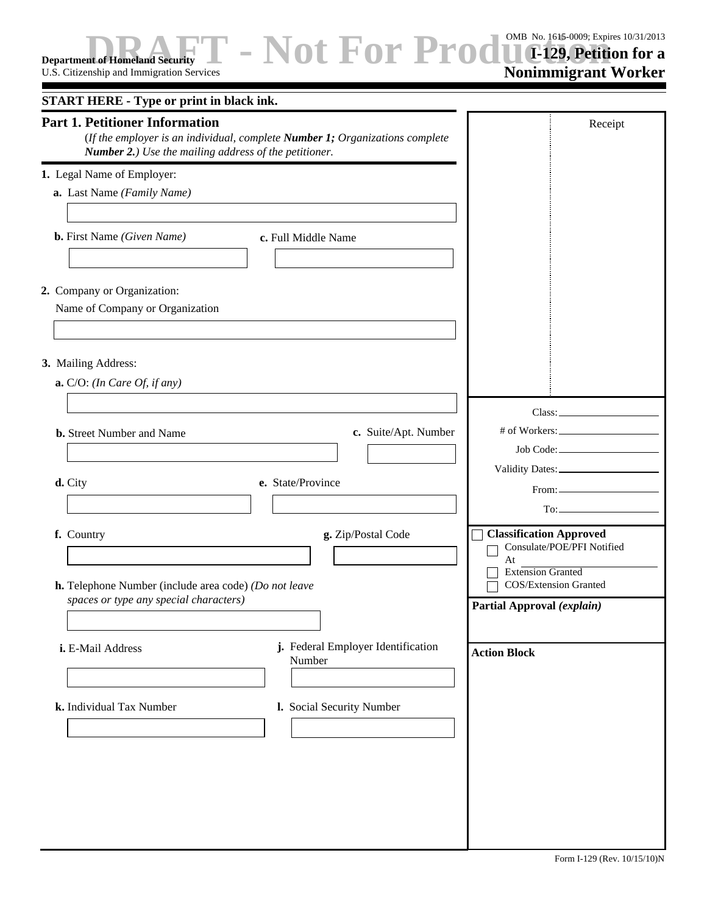### **Department of Homeland Security DRAFT - NOT PRODUCTION** No. 1615-0009; Expirity Department of Homeland Security  $\blacksquare$  - NOT PRODUCTION **I-129, Petition for a**  OMB No. 1615-0009; Expires 10/31/2013

U.S. Citizenship and Immigration Services

**Nonimmigrant Worker**

| <b>START HERE - Type or print in black ink.</b>                                                                                                                                |                                                              |
|--------------------------------------------------------------------------------------------------------------------------------------------------------------------------------|--------------------------------------------------------------|
| <b>Part 1. Petitioner Information</b><br>(If the employer is an individual, complete Number 1; Organizations complete<br>Number 2.) Use the mailing address of the petitioner. | Receipt                                                      |
| 1. Legal Name of Employer:                                                                                                                                                     |                                                              |
| a. Last Name (Family Name)                                                                                                                                                     |                                                              |
|                                                                                                                                                                                |                                                              |
| <b>b.</b> First Name (Given Name)<br>c. Full Middle Name                                                                                                                       |                                                              |
|                                                                                                                                                                                |                                                              |
| 2. Company or Organization:                                                                                                                                                    |                                                              |
| Name of Company or Organization                                                                                                                                                |                                                              |
|                                                                                                                                                                                |                                                              |
| 3. Mailing Address:                                                                                                                                                            |                                                              |
| a. C/O: (In Care Of, if any)                                                                                                                                                   |                                                              |
|                                                                                                                                                                                | Class:                                                       |
| c. Suite/Apt. Number<br><b>b.</b> Street Number and Name                                                                                                                       |                                                              |
|                                                                                                                                                                                |                                                              |
|                                                                                                                                                                                |                                                              |
| e. State/Province<br>d. City                                                                                                                                                   |                                                              |
|                                                                                                                                                                                |                                                              |
| g. Zip/Postal Code<br>f. Country                                                                                                                                               | <b>Classification Approved</b><br>Consulate/POE/PFI Notified |
|                                                                                                                                                                                | At                                                           |
| h. Telephone Number (include area code) (Do not leave                                                                                                                          | <b>Extension Granted</b><br><b>COS/Extension Granted</b>     |
| spaces or type any special characters)                                                                                                                                         | Partial Approval (explain)                                   |
|                                                                                                                                                                                |                                                              |
| j. Federal Employer Identification<br>i. E-Mail Address<br>Number                                                                                                              | <b>Action Block</b>                                          |
| I. Social Security Number<br>k. Individual Tax Number                                                                                                                          |                                                              |
|                                                                                                                                                                                |                                                              |
|                                                                                                                                                                                |                                                              |
|                                                                                                                                                                                |                                                              |
|                                                                                                                                                                                |                                                              |
|                                                                                                                                                                                |                                                              |
|                                                                                                                                                                                |                                                              |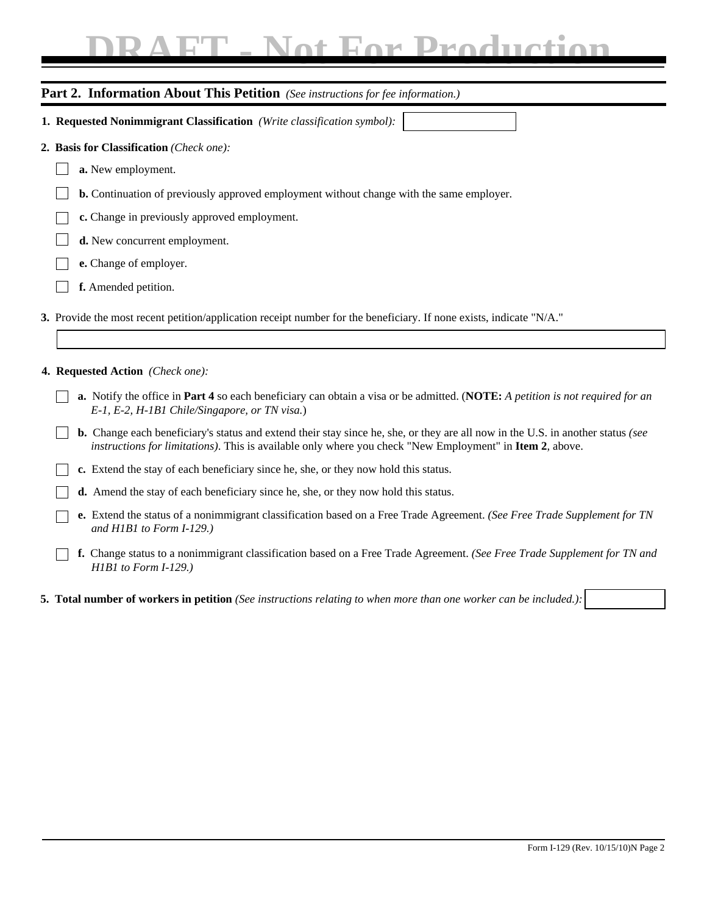### **DRAFT - Not For Production**

| Part 2. Information About This Petition (See instructions for fee information.)                                                                                                                                                                    |
|----------------------------------------------------------------------------------------------------------------------------------------------------------------------------------------------------------------------------------------------------|
| 1. Requested Nonimmigrant Classification (Write classification symbol):                                                                                                                                                                            |
| 2. Basis for Classification (Check one):                                                                                                                                                                                                           |
| a. New employment.                                                                                                                                                                                                                                 |
| <b>b.</b> Continuation of previously approved employment without change with the same employer.                                                                                                                                                    |
| c. Change in previously approved employment.                                                                                                                                                                                                       |
| d. New concurrent employment.                                                                                                                                                                                                                      |
| e. Change of employer.                                                                                                                                                                                                                             |
| f. Amended petition.                                                                                                                                                                                                                               |
| 3. Provide the most recent petition/application receipt number for the beneficiary. If none exists, indicate "N/A."                                                                                                                                |
| 4. Requested Action (Check one):                                                                                                                                                                                                                   |
| a. Notify the office in Part 4 so each beneficiary can obtain a visa or be admitted. (NOTE: A petition is not required for an<br>E-1, E-2, H-1B1 Chile/Singapore, or TN visa.)                                                                     |
| <b>b.</b> Change each beneficiary's status and extend their stay since he, she, or they are all now in the U.S. in another status (see<br>instructions for limitations). This is available only where you check "New Employment" in Item 2, above. |
| c. Extend the stay of each beneficiary since he, she, or they now hold this status.                                                                                                                                                                |
| <b>d.</b> Amend the stay of each beneficiary since he, she, or they now hold this status.                                                                                                                                                          |
| e. Extend the status of a nonimmigrant classification based on a Free Trade Agreement. (See Free Trade Supplement for TN<br>and H1B1 to Form I-129.)                                                                                               |
| f. Change status to a nonimmigrant classification based on a Free Trade Agreement. (See Free Trade Supplement for TN and<br>$HIB1$ to Form $I-129$ .)                                                                                              |

**5. Total number of workers in petition** *(See instructions relating to when more than one worker can be included.):*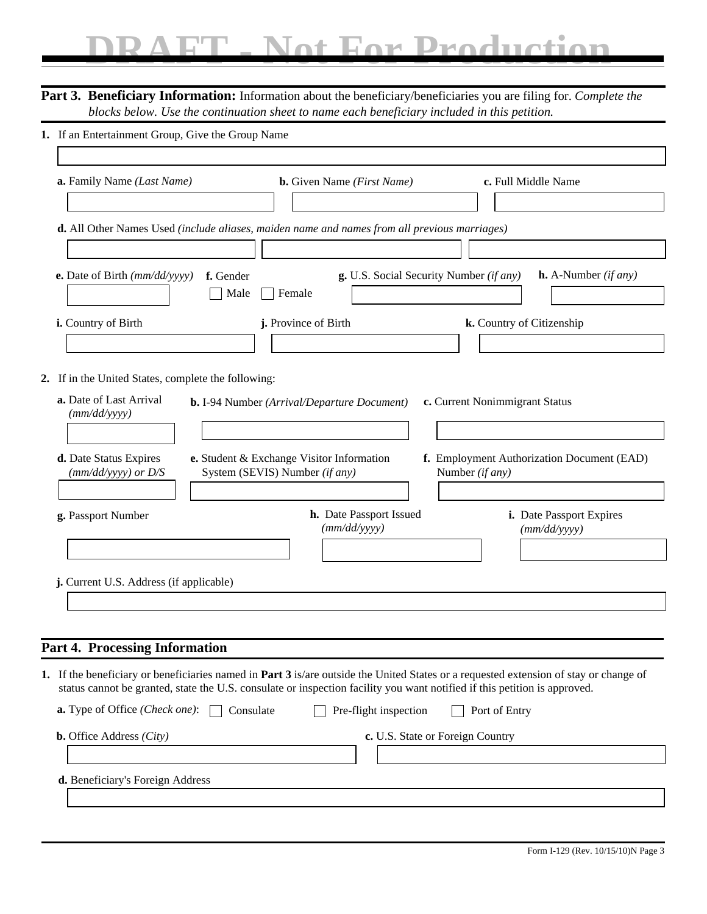### **DRAFT - Not For Production**

|                                                                                                                                                                                                                                                                                                             | <b>Part 3. Beneficiary Information:</b> Information about the beneficiary/beneficiaries you are filing for. Complete the<br>blocks below. Use the continuation sheet to name each beneficiary included in this petition.                                                                                                                                                                                                                             |  |  |  |  |  |
|-------------------------------------------------------------------------------------------------------------------------------------------------------------------------------------------------------------------------------------------------------------------------------------------------------------|------------------------------------------------------------------------------------------------------------------------------------------------------------------------------------------------------------------------------------------------------------------------------------------------------------------------------------------------------------------------------------------------------------------------------------------------------|--|--|--|--|--|
|                                                                                                                                                                                                                                                                                                             | 1. If an Entertainment Group, Give the Group Name                                                                                                                                                                                                                                                                                                                                                                                                    |  |  |  |  |  |
|                                                                                                                                                                                                                                                                                                             |                                                                                                                                                                                                                                                                                                                                                                                                                                                      |  |  |  |  |  |
|                                                                                                                                                                                                                                                                                                             | a. Family Name (Last Name)<br>c. Full Middle Name<br><b>b.</b> Given Name ( <i>First Name</i> )                                                                                                                                                                                                                                                                                                                                                      |  |  |  |  |  |
|                                                                                                                                                                                                                                                                                                             |                                                                                                                                                                                                                                                                                                                                                                                                                                                      |  |  |  |  |  |
|                                                                                                                                                                                                                                                                                                             | d. All Other Names Used (include aliases, maiden name and names from all previous marriages)                                                                                                                                                                                                                                                                                                                                                         |  |  |  |  |  |
|                                                                                                                                                                                                                                                                                                             |                                                                                                                                                                                                                                                                                                                                                                                                                                                      |  |  |  |  |  |
|                                                                                                                                                                                                                                                                                                             | <b>h.</b> A-Number $(if any)$<br>e. Date of Birth $(mm/dd/yyyy)$<br>g. U.S. Social Security Number (if any)<br>f. Gender<br>Male<br>Female                                                                                                                                                                                                                                                                                                           |  |  |  |  |  |
|                                                                                                                                                                                                                                                                                                             | j. Province of Birth<br>i. Country of Birth<br>k. Country of Citizenship                                                                                                                                                                                                                                                                                                                                                                             |  |  |  |  |  |
|                                                                                                                                                                                                                                                                                                             |                                                                                                                                                                                                                                                                                                                                                                                                                                                      |  |  |  |  |  |
| 2. If in the United States, complete the following:<br>a. Date of Last Arrival<br>c. Current Nonimmigrant Status<br><b>b.</b> I-94 Number (Arrival/Departure Document)<br>(mm/dd/yyyy)<br>e. Student & Exchange Visitor Information<br>d. Date Status Expires<br>f. Employment Authorization Document (EAD) |                                                                                                                                                                                                                                                                                                                                                                                                                                                      |  |  |  |  |  |
|                                                                                                                                                                                                                                                                                                             | System (SEVIS) Number (if any)<br>Number (if any)<br>(mm/dd/yyyy) or D/S                                                                                                                                                                                                                                                                                                                                                                             |  |  |  |  |  |
|                                                                                                                                                                                                                                                                                                             | h. Date Passport Issued<br>i. Date Passport Expires<br>g. Passport Number<br>(mm/dd/yyyy)<br>(mm/dd/yyyy)                                                                                                                                                                                                                                                                                                                                            |  |  |  |  |  |
|                                                                                                                                                                                                                                                                                                             |                                                                                                                                                                                                                                                                                                                                                                                                                                                      |  |  |  |  |  |
|                                                                                                                                                                                                                                                                                                             | j. Current U.S. Address (if applicable)                                                                                                                                                                                                                                                                                                                                                                                                              |  |  |  |  |  |
|                                                                                                                                                                                                                                                                                                             |                                                                                                                                                                                                                                                                                                                                                                                                                                                      |  |  |  |  |  |
|                                                                                                                                                                                                                                                                                                             |                                                                                                                                                                                                                                                                                                                                                                                                                                                      |  |  |  |  |  |
|                                                                                                                                                                                                                                                                                                             | <b>Part 4. Processing Information</b>                                                                                                                                                                                                                                                                                                                                                                                                                |  |  |  |  |  |
|                                                                                                                                                                                                                                                                                                             | 1. If the beneficiary or beneficiaries named in Part 3 is/are outside the United States or a requested extension of stay or change of<br>status cannot be granted, state the U.S. consulate or inspection facility you want notified if this petition is approved.<br><b>a.</b> Type of Office ( <i>Check one</i> ):<br>Consulate<br>Pre-flight inspection<br>Port of Entry<br><b>b.</b> Office Address $(City)$<br>c. U.S. State or Foreign Country |  |  |  |  |  |
|                                                                                                                                                                                                                                                                                                             |                                                                                                                                                                                                                                                                                                                                                                                                                                                      |  |  |  |  |  |
|                                                                                                                                                                                                                                                                                                             | d. Beneficiary's Foreign Address                                                                                                                                                                                                                                                                                                                                                                                                                     |  |  |  |  |  |
|                                                                                                                                                                                                                                                                                                             |                                                                                                                                                                                                                                                                                                                                                                                                                                                      |  |  |  |  |  |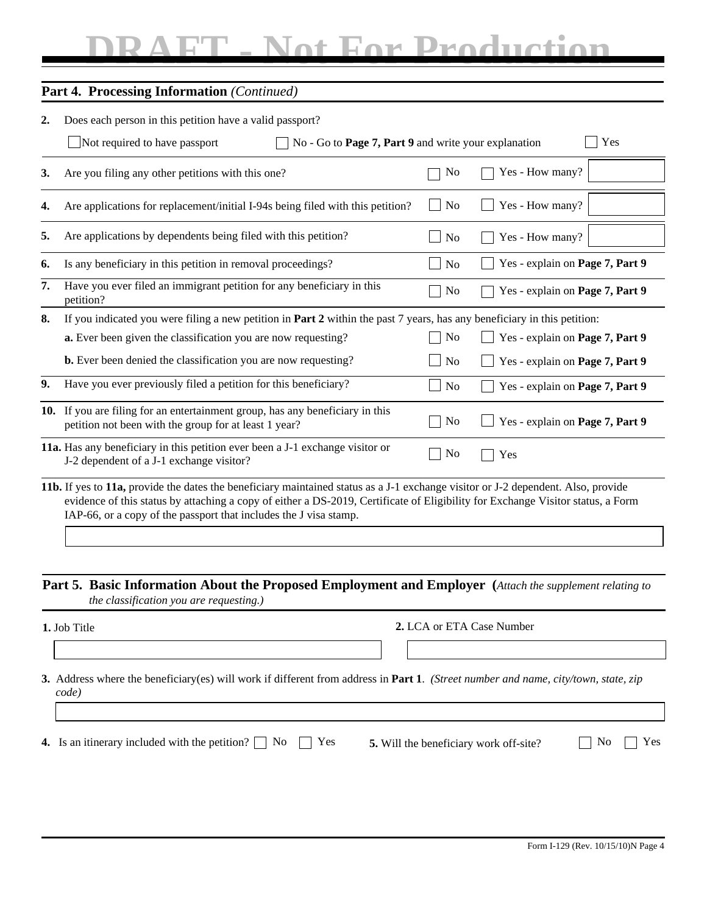### **Not For Production**

|    | Part 4. Processing Information (Continued)                                                                                                                                                                                                                                                                                                |                   |                                 |  |
|----|-------------------------------------------------------------------------------------------------------------------------------------------------------------------------------------------------------------------------------------------------------------------------------------------------------------------------------------------|-------------------|---------------------------------|--|
| 2. | Does each person in this petition have a valid passport?                                                                                                                                                                                                                                                                                  |                   |                                 |  |
|    | Not required to have passport<br>No - Go to Page 7, Part 9 and write your explanation                                                                                                                                                                                                                                                     |                   | Yes                             |  |
| 3. | Are you filing any other petitions with this one?                                                                                                                                                                                                                                                                                         | No                | Yes - How many?                 |  |
| 4. | Are applications for replacement/initial I-94s being filed with this petition?                                                                                                                                                                                                                                                            | $\blacksquare$ No | Yes - How many?                 |  |
| 5. | Are applications by dependents being filed with this petition?                                                                                                                                                                                                                                                                            | <b>No</b>         | Yes - How many?                 |  |
| 6. | Is any beneficiary in this petition in removal proceedings?                                                                                                                                                                                                                                                                               | N <sub>o</sub>    | Yes - explain on Page 7, Part 9 |  |
| 7. | Have you ever filed an immigrant petition for any beneficiary in this<br>Yes - explain on Page 7, Part 9<br>N <sub>0</sub><br>petition?                                                                                                                                                                                                   |                   |                                 |  |
| 8. | If you indicated you were filing a new petition in <b>Part 2</b> within the past $7$ years, has any beneficiary in this petition:                                                                                                                                                                                                         |                   |                                 |  |
|    | a. Ever been given the classification you are now requesting?                                                                                                                                                                                                                                                                             | N <sub>o</sub>    | Yes - explain on Page 7, Part 9 |  |
|    | <b>b.</b> Ever been denied the classification you are now requesting?                                                                                                                                                                                                                                                                     | N <sub>o</sub>    | Yes - explain on Page 7, Part 9 |  |
| 9. | Have you ever previously filed a petition for this beneficiary?                                                                                                                                                                                                                                                                           | N <sub>o</sub>    | Yes - explain on Page 7, Part 9 |  |
|    | 10. If you are filing for an entertainment group, has any beneficiary in this<br>petition not been with the group for at least 1 year?                                                                                                                                                                                                    | No                | Yes - explain on Page 7, Part 9 |  |
|    | 11a. Has any beneficiary in this petition ever been a J-1 exchange visitor or<br>J-2 dependent of a J-1 exchange visitor?                                                                                                                                                                                                                 | No                | Yes                             |  |
|    | 11b. If yes to 11a, provide the dates the beneficiary maintained status as a J-1 exchange visitor or J-2 dependent. Also, provide<br>evidence of this status by attaching a copy of either a DS-2019, Certificate of Eligibility for Exchange Visitor status, a Form<br>IAP-66, or a copy of the passport that includes the J visa stamp. |                   |                                 |  |
|    |                                                                                                                                                                                                                                                                                                                                           |                   |                                 |  |
|    | Part 5. Basic Information About the Proposed Employment and Employer (Attach the supplement relating to<br>the classification you are requesting.)                                                                                                                                                                                        |                   |                                 |  |
|    | 1. Job Title                                                                                                                                                                                                                                                                                                                              |                   | 2. LCA or ETA Case Number       |  |

**3.** Address where the beneficiary(es) will work if different from address in **Part 1**. *(Street number and name, city/town, state, zip code)*

**4.** Is an itinerary included with the petition?  $\Box$  No  $\Box$  Yes **5.** Will the beneficiary work off-site?  $\Box$  No  $\Box$  Yes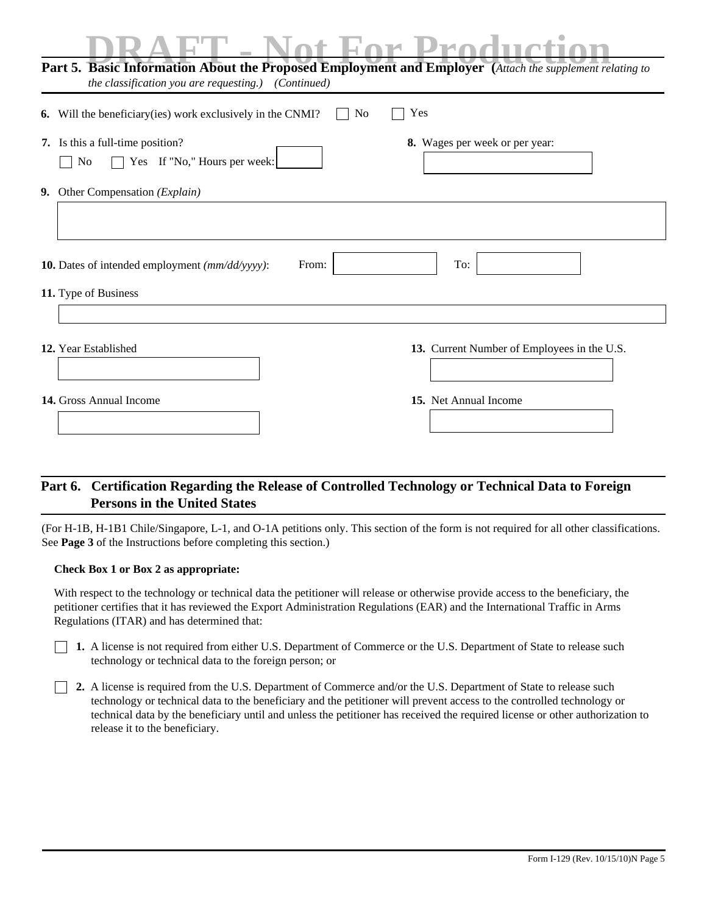| the classification you are requesting.) (Continued)                    | Part 5. Basic Information About the Proposed Employment and Employer (Attach the supplement relating to |
|------------------------------------------------------------------------|---------------------------------------------------------------------------------------------------------|
| Will the beneficiary (ies) work exclusively in the CNMI?<br>6.         | Yes<br>N <sub>0</sub>                                                                                   |
| 7. Is this a full-time position?<br>Yes If "No," Hours per week:<br>No | 8. Wages per week or per year:                                                                          |
| 9. Other Compensation (Explain)                                        |                                                                                                         |
| 10. Dates of intended employment (mm/dd/yyyy):                         | To:<br>From:                                                                                            |
| 11. Type of Business                                                   |                                                                                                         |
| 12. Year Established                                                   | 13. Current Number of Employees in the U.S.                                                             |
| 14. Gross Annual Income                                                | 15. Net Annual Income                                                                                   |

### **Part 6. Certification Regarding the Release of Controlled Technology or Technical Data to Foreign Persons in the United States**

(For H-1B, H-1B1 Chile/Singapore, L-1, and O-1A petitions only. This section of the form is not required for all other classifications. See **Page 3** of the Instructions before completing this section.)

### **Check Box 1 or Box 2 as appropriate:**

With respect to the technology or technical data the petitioner will release or otherwise provide access to the beneficiary, the petitioner certifies that it has reviewed the Export Administration Regulations (EAR) and the International Traffic in Arms Regulations (ITAR) and has determined that:

- **1.** A license is not required from either U.S. Department of Commerce or the U.S. Department of State to release such technology or technical data to the foreign person; or
- **2.** A license is required from the U.S. Department of Commerce and/or the U.S. Department of State to release such technology or technical data to the beneficiary and the petitioner will prevent access to the controlled technology or technical data by the beneficiary until and unless the petitioner has received the required license or other authorization to release it to the beneficiary.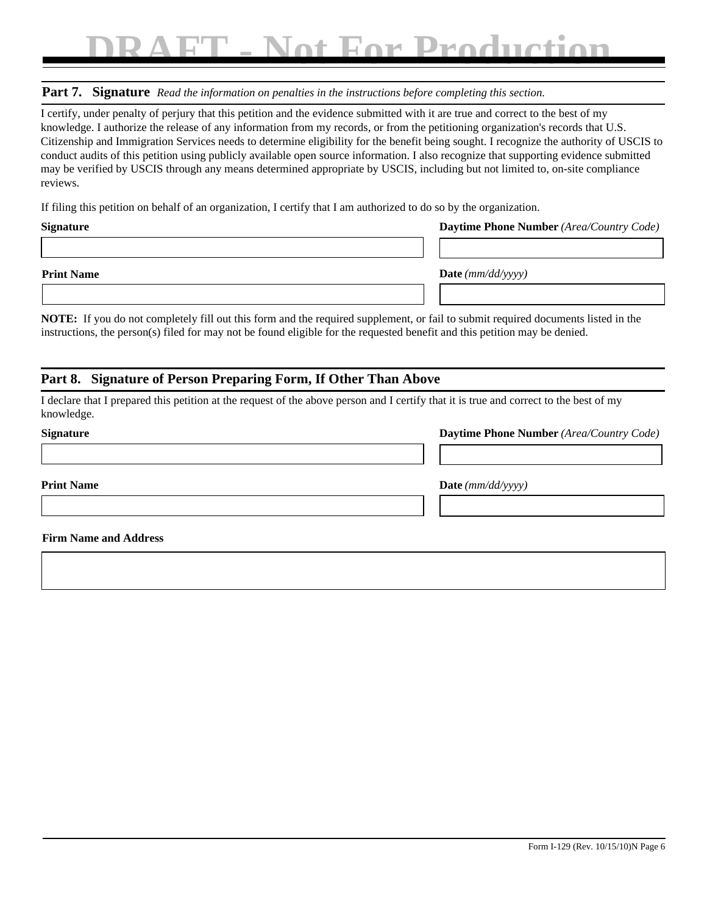### **Ear Production**

### **Part 7. Signature** *Read the information on penalties in the instructions before completing this section.*

I certify, under penalty of perjury that this petition and the evidence submitted with it are true and correct to the best of my knowledge. I authorize the release of any information from my records, or from the petitioning organization's records that U.S. Citizenship and Immigration Services needs to determine eligibility for the benefit being sought. I recognize the authority of USCIS to conduct audits of this petition using publicly available open source information. I also recognize that supporting evidence submitted may be verified by USCIS through any means determined appropriate by USCIS, including but not limited to, on-site compliance reviews.

If filing this petition on behalf of an organization, I certify that I am authorized to do so by the organization.

| <b>Signature</b> |
|------------------|
|------------------|

**Print Name Date** *(mm/dd/yyyy)*

**NOTE:** If you do not completely fill out this form and the required supplement, or fail to submit required documents listed in the instructions, the person(s) filed for may not be found eligible for the requested benefit and this petition may be denied.

### **Part 8. Signature of Person Preparing Form, If Other Than Above**

I declare that I prepared this petition at the request of the above person and I certify that it is true and correct to the best of my knowledge.

**Signature Daytime Phone Number** *(Area/Country Code)* 

**Daytime Phone Number** *(Area/Country Code)* 

**Print Name Date** *(mm/dd/yyyy)* 

**Firm Name and Address**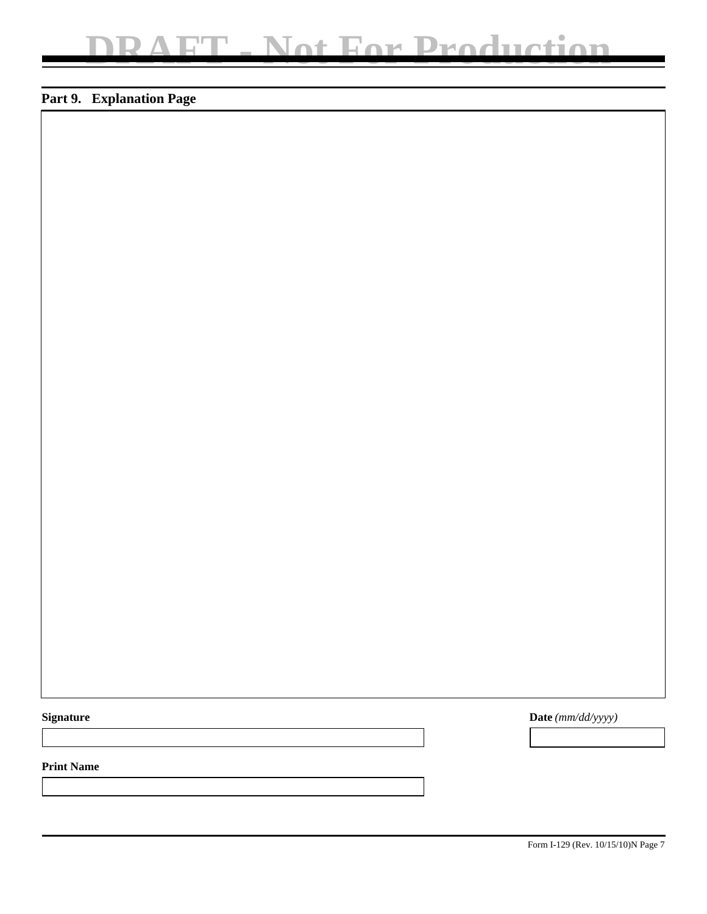### **Part 9. Explanation Page**

### **Signature**

**Date** *(mm/dd/yyyy)*

**Print Name**

Form I-129 (Rev. 10/15/10)N Page 7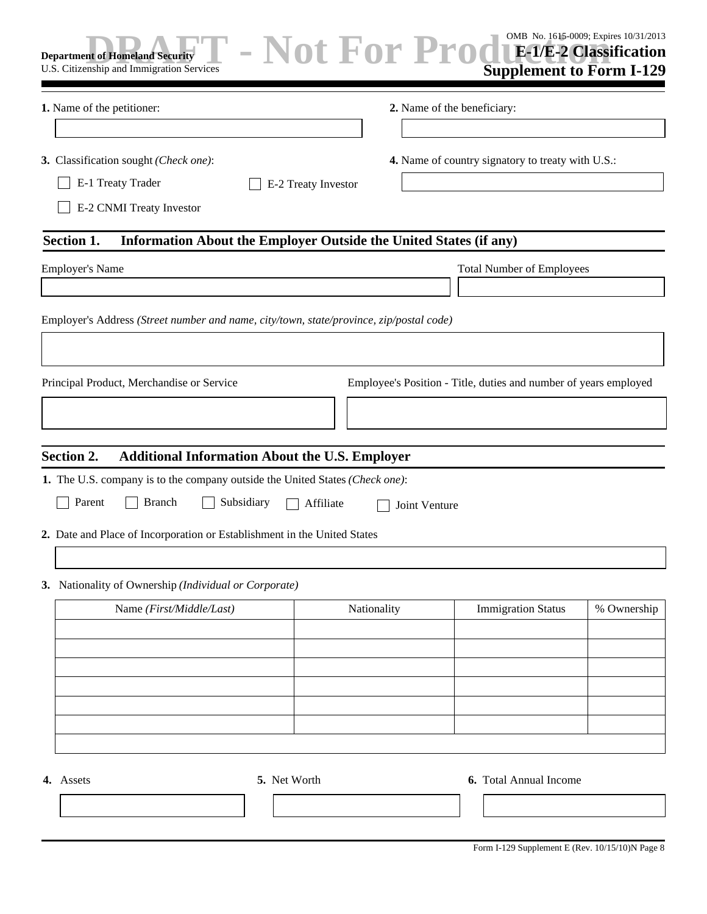| <b>Department of Homeland Security</b><br>U.S. Citizenship and Immigration Services                                   | - Not For Production E-1/E-2 Classification | OMB No. 1615-0009; Expires 10/31/2013<br><b>Supplement to Form I-129</b> |             |  |
|-----------------------------------------------------------------------------------------------------------------------|---------------------------------------------|--------------------------------------------------------------------------|-------------|--|
| 1. Name of the petitioner:                                                                                            | 2. Name of the beneficiary:                 |                                                                          |             |  |
|                                                                                                                       |                                             |                                                                          |             |  |
| 3. Classification sought (Check one):                                                                                 |                                             | 4. Name of country signatory to treaty with U.S.:                        |             |  |
| E-1 Treaty Trader                                                                                                     | E-2 Treaty Investor                         |                                                                          |             |  |
| E-2 CNMI Treaty Investor                                                                                              |                                             |                                                                          |             |  |
| Section 1.<br>Information About the Employer Outside the United States (if any)                                       |                                             |                                                                          |             |  |
| <b>Employer's Name</b>                                                                                                |                                             | <b>Total Number of Employees</b>                                         |             |  |
|                                                                                                                       |                                             |                                                                          |             |  |
| Employer's Address (Street number and name, city/town, state/province, zip/postal code)                               |                                             |                                                                          |             |  |
|                                                                                                                       |                                             |                                                                          |             |  |
| Principal Product, Merchandise or Service                                                                             |                                             | Employee's Position - Title, duties and number of years employed         |             |  |
|                                                                                                                       |                                             |                                                                          |             |  |
| Section 2.<br><b>Additional Information About the U.S. Employer</b>                                                   |                                             |                                                                          |             |  |
| 1. The U.S. company is to the company outside the United States (Check one):<br>Parent<br><b>Branch</b><br>Subsidiary | Affiliate                                   |                                                                          |             |  |
|                                                                                                                       | Joint Venture                               |                                                                          |             |  |
| 2. Date and Place of Incorporation or Establishment in the United States                                              |                                             |                                                                          |             |  |
|                                                                                                                       |                                             |                                                                          |             |  |
| 3. Nationality of Ownership (Individual or Corporate)                                                                 |                                             |                                                                          |             |  |
| Name (First/Middle/Last)                                                                                              | Nationality                                 | <b>Immigration Status</b>                                                | % Ownership |  |
|                                                                                                                       |                                             |                                                                          |             |  |
|                                                                                                                       |                                             |                                                                          |             |  |
|                                                                                                                       |                                             |                                                                          |             |  |
|                                                                                                                       |                                             |                                                                          |             |  |
|                                                                                                                       |                                             |                                                                          |             |  |
| 5. Net Worth<br>4. Assets                                                                                             |                                             | <b>6.</b> Total Annual Income                                            |             |  |
|                                                                                                                       |                                             |                                                                          |             |  |
|                                                                                                                       |                                             |                                                                          |             |  |

Form I-129 Supplement E (Rev. 10/15/10)N Page 8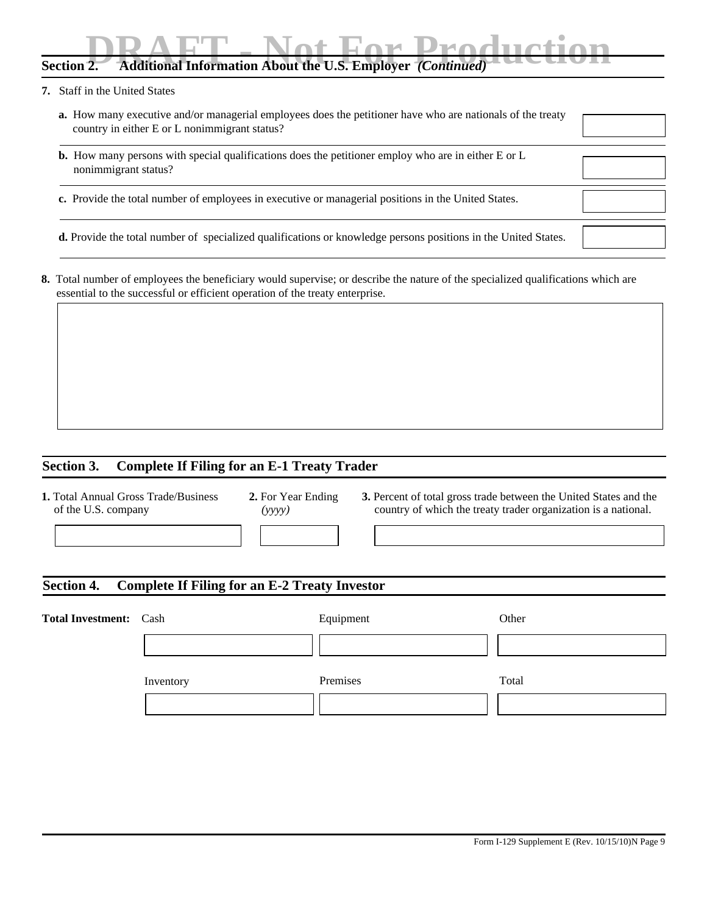## **DRAFT - No. 8. Additional Information About the U.S. Employer** *(Continued)*

**7.** Staff in the United States

| <b>a.</b> How many executive and/or managerial employees does the petitioner have who are nationals of the treaty<br>country in either E or L nonimmigrant status? |  |
|--------------------------------------------------------------------------------------------------------------------------------------------------------------------|--|
|                                                                                                                                                                    |  |
| <b>b.</b> How many persons with special qualifications does the petitioner employ who are in either E or L                                                         |  |
| nonimmigrant status?                                                                                                                                               |  |
|                                                                                                                                                                    |  |
| c. Provide the total number of employees in executive or managerial positions in the United States.                                                                |  |
|                                                                                                                                                                    |  |
| d. Provide the total number of specialized qualifications or knowledge persons positions in the United States.                                                     |  |
|                                                                                                                                                                    |  |

**8.** Total number of employees the beneficiary would supervise; or describe the nature of the specialized qualifications which are essential to the successful or efficient operation of the treaty enterprise.

### **Section 3. Complete If Filing for an E-1 Treaty Trader**

- **1.** Total Annual Gross Trade/Business of the U.S. company
- **2.** For Year Ending *(yyyy)*
- **3.** Percent of total gross trade between the United States and the country of which the treaty trader organization is a national.

### **Section 4. Complete If Filing for an E-2 Treaty Investor**

| <b>Total Investment:</b> Cash |           | Equipment | Other |
|-------------------------------|-----------|-----------|-------|
|                               |           |           |       |
|                               | Inventory | Premises  | Total |
|                               |           |           |       |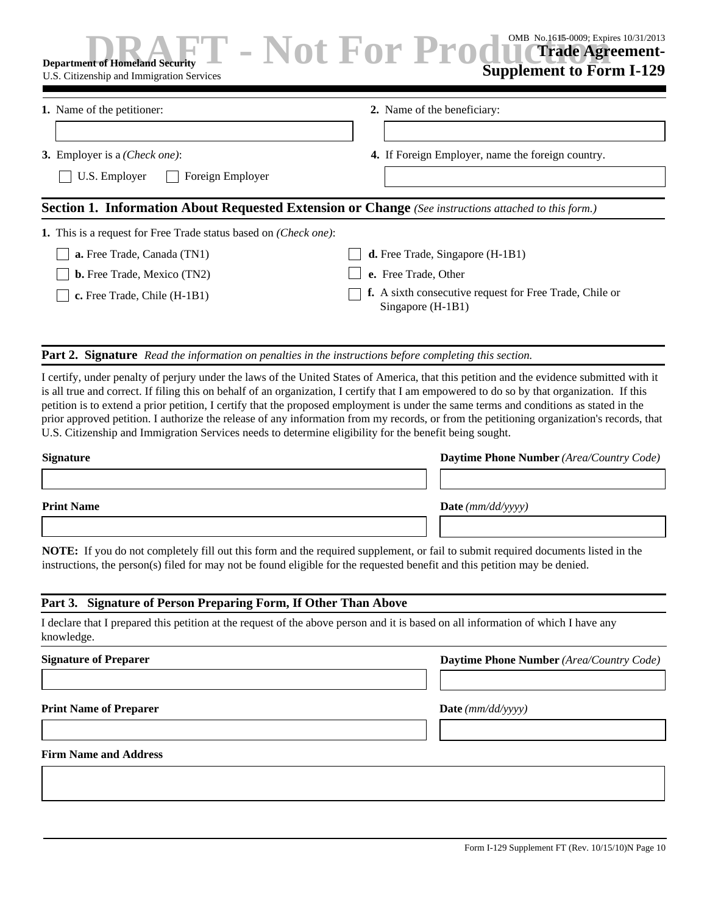| <b>Department of Homeland Security</b><br>U.S. Citizenship and Immigration Services | OMB No.1615-0009; Expires 10/31/2013<br>$\mathbf{FT}$ – Not For Productions, Expires 10/31/2013<br><b>Supplement to Form I-129</b> |
|-------------------------------------------------------------------------------------|------------------------------------------------------------------------------------------------------------------------------------|
| 1. Name of the petitioner:                                                          | 2. Name of the beneficiary:                                                                                                        |
| <b>3.</b> Employer is a <i>(Check one)</i> :                                        | <b>4.</b> If Foreign Employer, name the foreign country.                                                                           |
| Foreign Employer<br>U.S. Employer                                                   |                                                                                                                                    |
|                                                                                     | <b>Section 1. Information About Requested Extension or Change</b> (See instructions attached to this form.)                        |
| <b>1.</b> This is a request for Free Trade status based on <i>(Check one)</i> :     |                                                                                                                                    |
| <b>a.</b> Free Trade, Canada (TN1)                                                  | <b>d.</b> Free Trade, Singapore (H-1B1)                                                                                            |
| <b>b.</b> Free Trade, Mexico (TN2)                                                  | e. Free Trade, Other                                                                                                               |
| c. Free Trade, Chile $(H-1B1)$                                                      | <b>f.</b> A sixth consecutive request for Free Trade, Chile or                                                                     |

Singapore (H-1B1)

### **Part 2. Signature** *Read the information on penalties in the instructions before completing this section.*

I certify, under penalty of perjury under the laws of the United States of America, that this petition and the evidence submitted with it is all true and correct. If filing this on behalf of an organization, I certify that I am empowered to do so by that organization. If this petition is to extend a prior petition, I certify that the proposed employment is under the same terms and conditions as stated in the prior approved petition. I authorize the release of any information from my records, or from the petitioning organization's records, that U.S. Citizenship and Immigration Services needs to determine eligibility for the benefit being sought.

| <b>Signature</b>  | <b>Daytime Phone Number</b> (Area/Country Code) |
|-------------------|-------------------------------------------------|
|                   |                                                 |
| <b>Print Name</b> | <b>Date</b> ( $mm/dd/yyyy$ )                    |
|                   |                                                 |

**NOTE:** If you do not completely fill out this form and the required supplement, or fail to submit required documents listed in the instructions, the person(s) filed for may not be found eligible for the requested benefit and this petition may be denied.

### **Part 3. Signature of Person Preparing Form, If Other Than Above**

I declare that I prepared this petition at the request of the above person and it is based on all information of which I have any knowledge.

### **Signature of Preparer Daytime Phone Number** *(Area/Country Code)*

### **Print Name of Preparer Date** *(mm/dd/yyyy)*

**Firm Name and Address**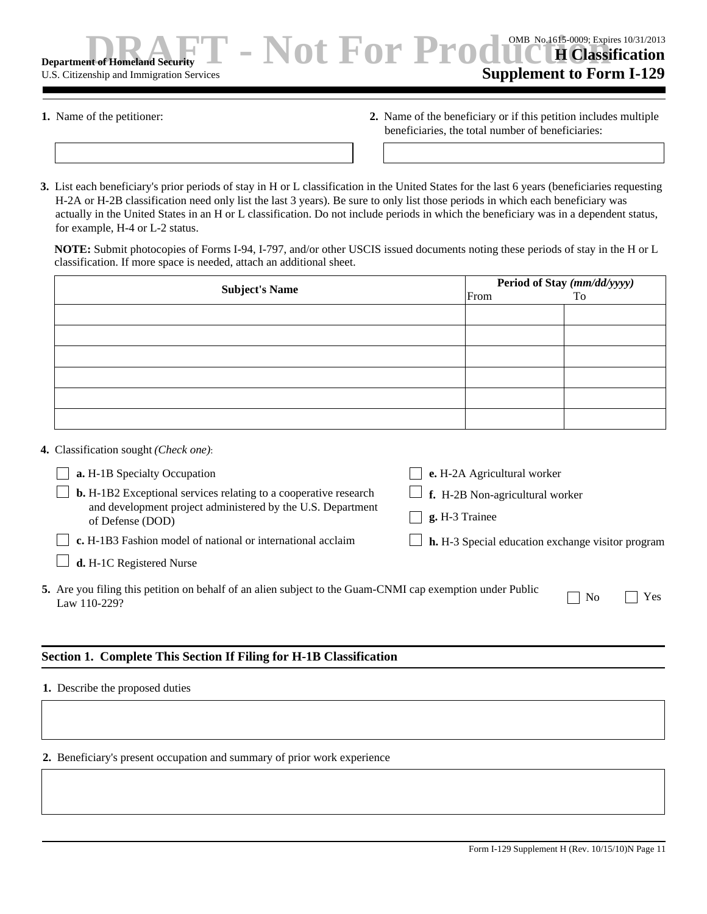#### **Department of Homeland Security**  $\blacksquare = \blacksquare$  **of For Production**  $\blacksquare$  **Homeland Security Supplement to Form I-129** U.S. Citizenship and Immigration Services OMB No.1615-0009; Expires 10/31/2013

- 
- **1.** Name of the petitioner: **2.** Name of the beneficiary or if this petition includes multiple beneficiaries, the total number of beneficiaries:
- **3.** List each beneficiary's prior periods of stay in H or L classification in the United States for the last 6 years (beneficiaries requesting H-2A or H-2B classification need only list the last 3 years). Be sure to only list those periods in which each beneficiary was actually in the United States in an H or L classification. Do not include periods in which the beneficiary was in a dependent status, for example, H-4 or L-2 status.

**NOTE:** Submit photocopies of Forms I-94, I-797, and/or other USCIS issued documents noting these periods of stay in the H or L classification. If more space is needed, attach an additional sheet.

| <b>Subject's Name</b> | <b>Period of Stay (mm/dd/yyyy)</b><br>To |  |
|-----------------------|------------------------------------------|--|
|                       | From                                     |  |
|                       |                                          |  |
|                       |                                          |  |
|                       |                                          |  |
|                       |                                          |  |
|                       |                                          |  |
|                       |                                          |  |

**4.** Classification sought *(Check one)*:

| <b>a.</b> H-1B Specialty Occupation                                                                                       | e. H-2A Agricultural worker                       |
|---------------------------------------------------------------------------------------------------------------------------|---------------------------------------------------|
| <b>b.</b> H-1B2 Exceptional services relating to a cooperative research                                                   | $\Box$ <b>f.</b> H-2B Non-agricultural worker     |
| and development project administered by the U.S. Department<br>of Defense (DOD)                                           | g. H-3 Trainee                                    |
| c. H-1B3 Fashion model of national or international acclaim                                                               | h. H-3 Special education exchange visitor program |
| d. H-1C Registered Nurse                                                                                                  |                                                   |
| 5. Are you filing this petition on behalf of an alien subject to the Guam-CNMI cap exemption under Public<br>Law 110-229? | Yes<br>No                                         |

### **Section 1. Complete This Section If Filing for H-1B Classification**

### **1.** Describe the proposed duties

**2.** Beneficiary's present occupation and summary of prior work experience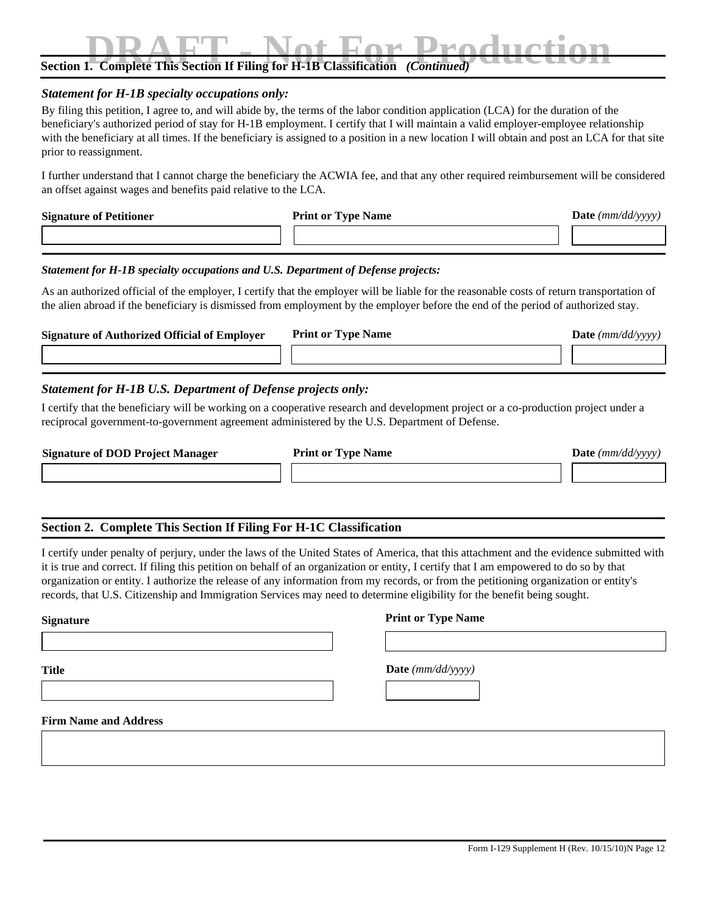## **DRAFT - Notion 1. Complete This Section If Filing for H-1B Classification** *(Continued)*

### *Statement for H-1B specialty occupations only:*

By filing this petition, I agree to, and will abide by, the terms of the labor condition application (LCA) for the duration of the beneficiary's authorized period of stay for H-1B employment. I certify that I will maintain a valid employer-employee relationship with the beneficiary at all times. If the beneficiary is assigned to a position in a new location I will obtain and post an LCA for that site prior to reassignment.

I further understand that I cannot charge the beneficiary the ACWIA fee, and that any other required reimbursement will be considered an offset against wages and benefits paid relative to the LCA.

| <b>Signature of Petitioner</b> | <b>Print or Type Name</b> | <b>Date</b> ( $mm/dd/yyyy$ ) |
|--------------------------------|---------------------------|------------------------------|
|                                |                           |                              |

### *Statement for H-1B specialty occupations and U.S. Department of Defense projects:*

As an authorized official of the employer, I certify that the employer will be liable for the reasonable costs of return transportation of the alien abroad if the beneficiary is dismissed from employment by the employer before the end of the period of authorized stay.

| <b>Signature of Authorized Official of Employer</b> | <b>Print or Type Name</b> | <b>Date</b> ( $mm/dd/vvvv$ ) |
|-----------------------------------------------------|---------------------------|------------------------------|
|                                                     |                           |                              |
|                                                     |                           |                              |

### *Statement for H-1B U.S. Department of Defense projects only:*

I certify that the beneficiary will be working on a cooperative research and development project or a co-production project under a reciprocal government-to-government agreement administered by the U.S. Department of Defense.

**Signature of DOD Project Manager Print or Type Name Date (***mm/dd/yyyy***)** 

### **Section 2. Complete This Section If Filing For H-1C Classification**

I certify under penalty of perjury, under the laws of the United States of America, that this attachment and the evidence submitted with it is true and correct. If filing this petition on behalf of an organization or entity, I certify that I am empowered to do so by that organization or entity. I authorize the release of any information from my records, or from the petitioning organization or entity's records, that U.S. Citizenship and Immigration Services may need to determine eligibility for the benefit being sought.

### **Signature**

### **Print or Type Name**

**Title**

**Date** *(mm/dd/yyyy)*

**Firm Name and Address**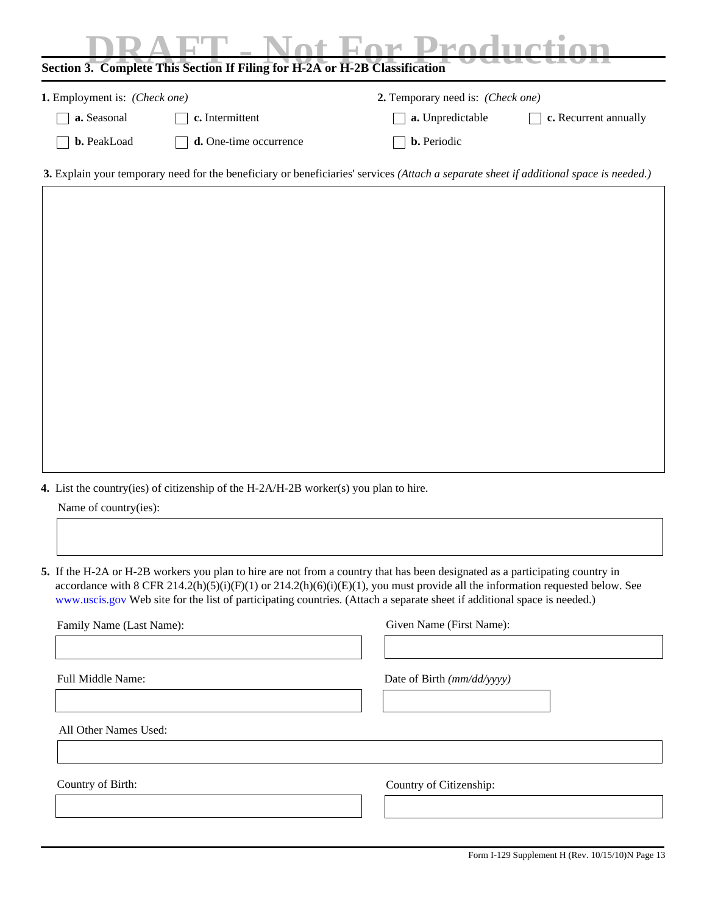| ot For Production<br>Section 3. Complete This Section If Filing for H-2A or H-2B Classification                                        |                                   |                    |                       |  |
|----------------------------------------------------------------------------------------------------------------------------------------|-----------------------------------|--------------------|-----------------------|--|
| <b>1.</b> Employment is: <i>(Check one)</i><br><b>2.</b> Temporary need is: <i>(Check one)</i>                                         |                                   |                    |                       |  |
| a. Seasonal                                                                                                                            | c. Intermittent                   | a. Unpredictable   | c. Recurrent annually |  |
| b. PeakLoad                                                                                                                            | $\mathbf d$ . One-time occurrence | <b>b.</b> Periodic |                       |  |
| 3. Explain your temporary need for the beneficiary or beneficiaries' services (Attach a separate sheet if additional space is needed.) |                                   |                    |                       |  |

| 4. List the country(ies) of citizenship of the H-2A/H-2B worker(s) you plan to hire. |  |
|--------------------------------------------------------------------------------------|--|
|--------------------------------------------------------------------------------------|--|

Name of country(ies):

**5.** If the H-2A or H-2B workers you plan to hire are not from a country that has been designated as a participating country in accordance with 8 CFR 214.2(h)(5)(i)(F)(1) or 214.2(h)(6)(i)(E)(1), you must provide all the information requested below. See www.uscis.gov Web site for the list of participating countries. (Attach a separate sheet if additional space is needed.)

| Family Name (Last Name): | Given Name (First Name):   |
|--------------------------|----------------------------|
|                          |                            |
| Full Middle Name:        | Date of Birth (mm/dd/yyyy) |
| All Other Names Used:    |                            |
|                          |                            |
| Country of Birth:        | Country of Citizenship:    |
|                          |                            |
|                          |                            |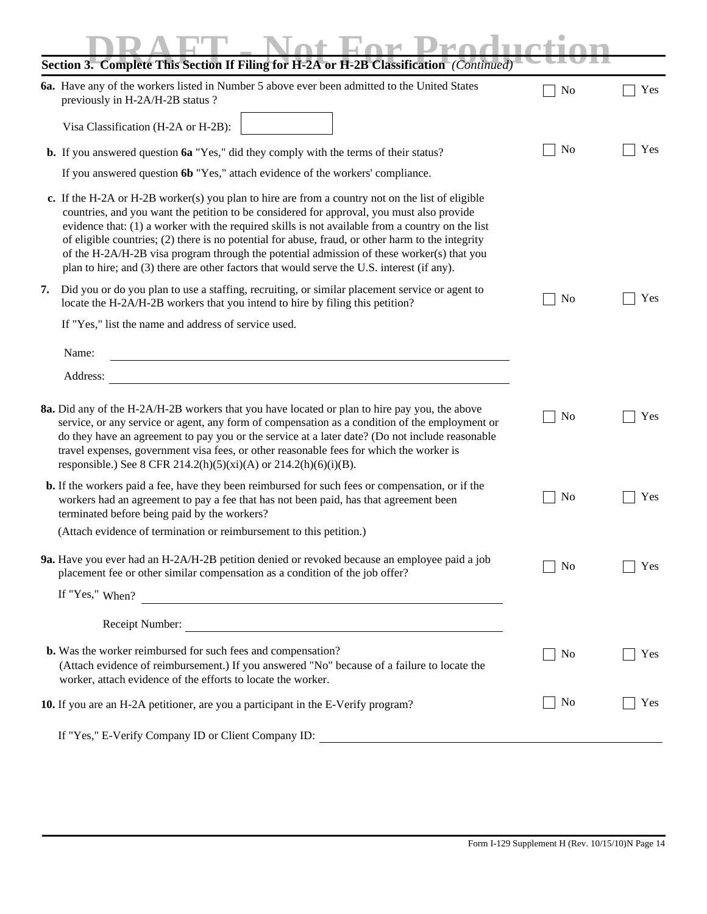|    | Section 3. Complete This Section If Filing for H-2A or H-2B Classification (Continued)                                                                                                                                                                                                                                                                                                                                                                                                                                                                                                            |                |     |
|----|---------------------------------------------------------------------------------------------------------------------------------------------------------------------------------------------------------------------------------------------------------------------------------------------------------------------------------------------------------------------------------------------------------------------------------------------------------------------------------------------------------------------------------------------------------------------------------------------------|----------------|-----|
|    | 6a. Have any of the workers listed in Number 5 above ever been admitted to the United States<br>previously in H-2A/H-2B status ?                                                                                                                                                                                                                                                                                                                                                                                                                                                                  | No             | Yes |
|    | Visa Classification (H-2A or H-2B):                                                                                                                                                                                                                                                                                                                                                                                                                                                                                                                                                               |                |     |
|    | <b>b.</b> If you answered question 6a "Yes," did they comply with the terms of their status?                                                                                                                                                                                                                                                                                                                                                                                                                                                                                                      | No             | Yes |
|    | If you answered question 6b "Yes," attach evidence of the workers' compliance.                                                                                                                                                                                                                                                                                                                                                                                                                                                                                                                    |                |     |
|    | c. If the H-2A or H-2B worker(s) you plan to hire are from a country not on the list of eligible<br>countries, and you want the petition to be considered for approval, you must also provide<br>evidence that: (1) a worker with the required skills is not available from a country on the list<br>of eligible countries; (2) there is no potential for abuse, fraud, or other harm to the integrity<br>of the H-2A/H-2B visa program through the potential admission of these worker(s) that you<br>plan to hire; and (3) there are other factors that would serve the U.S. interest (if any). |                |     |
| 7. | Did you or do you plan to use a staffing, recruiting, or similar placement service or agent to<br>locate the H-2A/H-2B workers that you intend to hire by filing this petition?                                                                                                                                                                                                                                                                                                                                                                                                                   | No             | Yes |
|    | If "Yes," list the name and address of service used.                                                                                                                                                                                                                                                                                                                                                                                                                                                                                                                                              |                |     |
|    | Name:                                                                                                                                                                                                                                                                                                                                                                                                                                                                                                                                                                                             |                |     |
|    | Address:                                                                                                                                                                                                                                                                                                                                                                                                                                                                                                                                                                                          |                |     |
|    | <b>8a.</b> Did any of the H-2A/H-2B workers that you have located or plan to hire pay you, the above<br>service, or any service or agent, any form of compensation as a condition of the employment or<br>do they have an agreement to pay you or the service at a later date? (Do not include reasonable<br>travel expenses, government visa fees, or other reasonable fees for which the worker is<br>responsible.) See 8 CFR 214.2(h)(5)(xi)(A) or 214.2(h)(6)(i)(B).                                                                                                                          | No             | Yes |
|    | <b>b.</b> If the workers paid a fee, have they been reimbursed for such fees or compensation, or if the<br>workers had an agreement to pay a fee that has not been paid, has that agreement been<br>terminated before being paid by the workers?                                                                                                                                                                                                                                                                                                                                                  | N <sub>0</sub> | Yes |
|    | (Attach evidence of termination or reimbursement to this petition.)                                                                                                                                                                                                                                                                                                                                                                                                                                                                                                                               |                |     |
|    | <b>9a.</b> Have you ever had an H-2A/H-2B petition denied or revoked because an employee paid a job<br>placement fee or other similar compensation as a condition of the job offer?                                                                                                                                                                                                                                                                                                                                                                                                               | No             | Yes |
|    | If "Yes," When? $\qquad$                                                                                                                                                                                                                                                                                                                                                                                                                                                                                                                                                                          |                |     |
|    | Receipt Number:<br><u> 1989 - Johann Stoff, fransk politik (d. 1989)</u>                                                                                                                                                                                                                                                                                                                                                                                                                                                                                                                          |                |     |
|    | <b>b.</b> Was the worker reimbursed for such fees and compensation?<br>(Attach evidence of reimbursement.) If you answered "No" because of a failure to locate the<br>worker, attach evidence of the efforts to locate the worker.                                                                                                                                                                                                                                                                                                                                                                | N <sub>0</sub> | Yes |
|    | 10. If you are an H-2A petitioner, are you a participant in the E-Verify program?                                                                                                                                                                                                                                                                                                                                                                                                                                                                                                                 | No             | Yes |
|    | If "Yes," E-Verify Company ID or Client Company ID:                                                                                                                                                                                                                                                                                                                                                                                                                                                                                                                                               |                |     |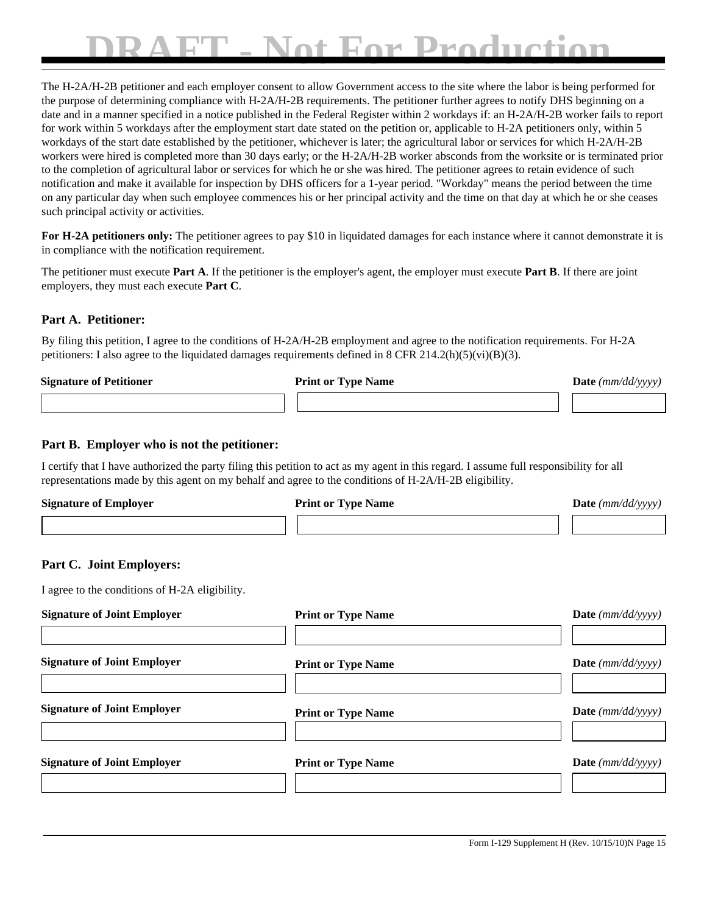## ot **For Production**

The H-2A/H-2B petitioner and each employer consent to allow Government access to the site where the labor is being performed for the purpose of determining compliance with H-2A/H-2B requirements. The petitioner further agrees to notify DHS beginning on a date and in a manner specified in a notice published in the Federal Register within 2 workdays if: an H-2A/H-2B worker fails to report for work within 5 workdays after the employment start date stated on the petition or, applicable to H-2A petitioners only, within 5 workdays of the start date established by the petitioner, whichever is later; the agricultural labor or services for which H-2A/H-2B workers were hired is completed more than 30 days early; or the H-2A/H-2B worker absconds from the worksite or is terminated prior to the completion of agricultural labor or services for which he or she was hired. The petitioner agrees to retain evidence of such notification and make it available for inspection by DHS officers for a 1-year period. "Workday" means the period between the time on any particular day when such employee commences his or her principal activity and the time on that day at which he or she ceases such principal activity or activities.

**For H-2A petitioners only:** The petitioner agrees to pay \$10 in liquidated damages for each instance where it cannot demonstrate it is in compliance with the notification requirement.

The petitioner must execute **Part A**. If the petitioner is the employer's agent, the employer must execute **Part B**. If there are joint employers, they must each execute **Part C**.

### **Part A. Petitioner:**

By filing this petition, I agree to the conditions of H-2A/H-2B employment and agree to the notification requirements. For H-2A petitioners: I also agree to the liquidated damages requirements defined in 8 CFR 214.2(h)(5)(vi)(B)(3).

| <b>Signature of Petitioner</b> | <b>Print or Type Name</b> | <b>Date</b> ( $mm/dd/vvvv$ ) |
|--------------------------------|---------------------------|------------------------------|
|                                |                           |                              |

### **Part B. Employer who is not the petitioner:**

I certify that I have authorized the party filing this petition to act as my agent in this regard. I assume full responsibility for all representations made by this agent on my behalf and agree to the conditions of H-2A/H-2B eligibility.

| <b>Signature of Employer</b> | <b>Print or Type Name</b> | <b>Date</b> ( $mm/dd/yyyy$ ) |
|------------------------------|---------------------------|------------------------------|
|                              |                           |                              |
|                              |                           |                              |

### **Part C. Joint Employers:**

I agree to the conditions of H-2A eligibility.

| <b>Signature of Joint Employer</b> | <b>Print or Type Name</b> | <b>Date</b> ( $mm/dd/yyyy$ ) |
|------------------------------------|---------------------------|------------------------------|
|                                    |                           |                              |
| <b>Signature of Joint Employer</b> | <b>Print or Type Name</b> | <b>Date</b> ( $mm/dd/yyyy$ ) |
|                                    |                           |                              |
| <b>Signature of Joint Employer</b> | <b>Print or Type Name</b> | Date $(mm/dd/yyyy)$          |
|                                    |                           |                              |
|                                    |                           |                              |
| <b>Signature of Joint Employer</b> | <b>Print or Type Name</b> | Date $(mm/dd/yyyy)$          |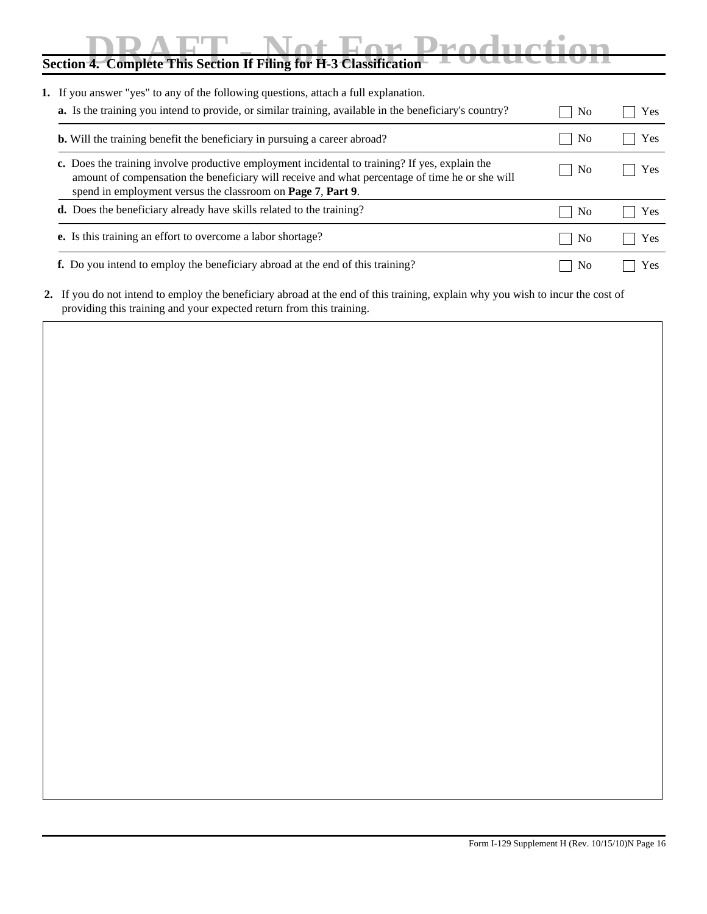| or Drodug<br>Section 4. Complete This Section If Filing for H-3 Classification                                                                                                                                                                                  |                |            |
|-----------------------------------------------------------------------------------------------------------------------------------------------------------------------------------------------------------------------------------------------------------------|----------------|------------|
|                                                                                                                                                                                                                                                                 |                |            |
| 1. If you answer "yes" to any of the following questions, attach a full explanation.                                                                                                                                                                            |                |            |
| <b>a.</b> Is the training you intend to provide, or similar training, available in the beneficiary's country?                                                                                                                                                   | N <sub>0</sub> | <b>Yes</b> |
| <b>b.</b> Will the training benefit the beneficiary in pursuing a career abroad?                                                                                                                                                                                | N <sub>0</sub> | Yes        |
| c. Does the training involve productive employment incidental to training? If yes, explain the<br>amount of compensation the beneficiary will receive and what percentage of time he or she will<br>spend in employment versus the classroom on Page 7, Part 9. | N <sub>0</sub> | Yes        |
| <b>d.</b> Does the beneficiary already have skills related to the training?                                                                                                                                                                                     | N <sub>0</sub> | Yes        |
| <b>e.</b> Is this training an effort to overcome a labor shortage?                                                                                                                                                                                              | N <sub>0</sub> | Yes        |
| <b>f.</b> Do you intend to employ the beneficiary abroad at the end of this training?                                                                                                                                                                           | N <sub>0</sub> | Yes        |

**2.** If you do not intend to employ the beneficiary abroad at the end of this training, explain why you wish to incur the cost of providing this training and your expected return from this training.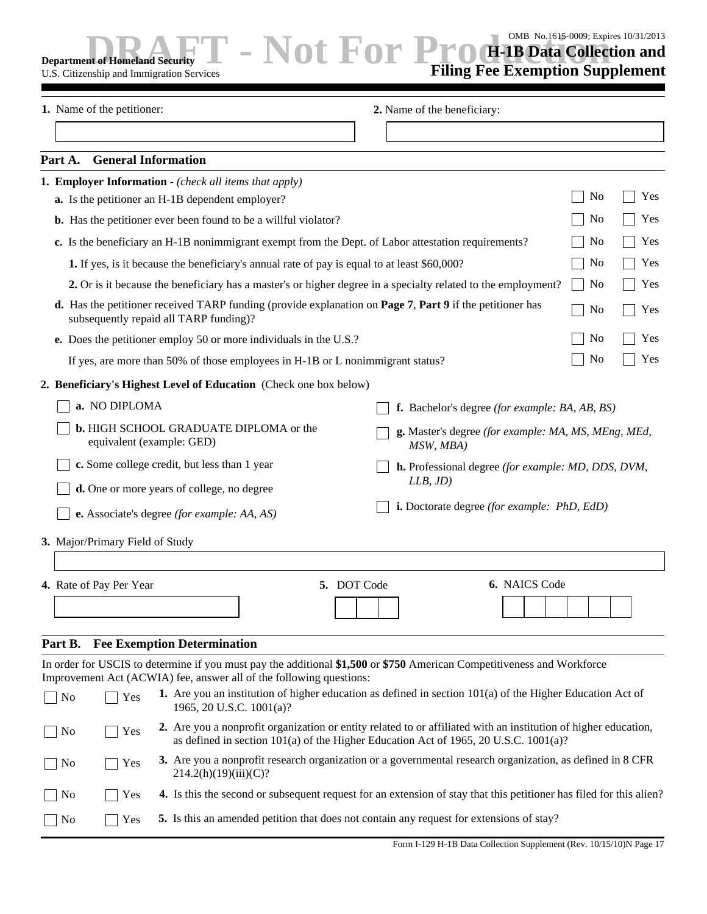**H-1B Data Collection and**  OMB No.1615-0009; Expires 10/31/2013

### **PROFILED AND THE DRAFT CONDUCTS**<br> **DRAFT - NOT PROFILED AT PROPILED AT A DATA Collect**<br> **DRAFT - IB Data Collect Department of Homeland Security**

U.S. Citizenship and Immigration Services

**Filing Fee Exemption Supplement**

|                   | 1. Name of the petitioner:                                                                                                                                       | 2. Name of the beneficiary:                                                                                                                                                                             |
|-------------------|------------------------------------------------------------------------------------------------------------------------------------------------------------------|---------------------------------------------------------------------------------------------------------------------------------------------------------------------------------------------------------|
|                   |                                                                                                                                                                  |                                                                                                                                                                                                         |
| Part A.           | <b>General Information</b>                                                                                                                                       |                                                                                                                                                                                                         |
|                   | <b>1. Employer Information</b> - (check all items that apply)<br>a. Is the petitioner an H-1B dependent employer?                                                | No<br>Yes                                                                                                                                                                                               |
|                   | <b>b.</b> Has the petitioner ever been found to be a willful violator?                                                                                           | N <sub>0</sub><br>Yes                                                                                                                                                                                   |
|                   | c. Is the beneficiary an H-1B nonimmigrant exempt from the Dept. of Labor attestation requirements?                                                              | Yes<br>N <sub>0</sub>                                                                                                                                                                                   |
|                   | 1. If yes, is it because the beneficiary's annual rate of pay is equal to at least \$60,000?                                                                     | Yes<br>No                                                                                                                                                                                               |
|                   | 2. Or is it because the beneficiary has a master's or higher degree in a specialty related to the employment?                                                    | Yes<br>N <sub>0</sub>                                                                                                                                                                                   |
|                   | <b>d.</b> Has the petitioner received TARP funding (provide explanation on <b>Page 7, Part 9</b> if the petitioner has<br>subsequently repaid all TARP funding)? | N <sub>0</sub><br>Yes                                                                                                                                                                                   |
|                   | e. Does the petitioner employ 50 or more individuals in the U.S.?                                                                                                | Yes<br>No                                                                                                                                                                                               |
|                   | If yes, are more than 50% of those employees in H-1B or L nonimmigrant status?                                                                                   | No<br>Yes                                                                                                                                                                                               |
|                   | 2. Beneficiary's Highest Level of Education (Check one box below)                                                                                                |                                                                                                                                                                                                         |
|                   | a. NO DIPLOMA                                                                                                                                                    | f. Bachelor's degree (for example: BA, AB, BS)                                                                                                                                                          |
|                   | <b>b.</b> HIGH SCHOOL GRADUATE DIPLOMA or the<br>equivalent (example: GED)                                                                                       | g. Master's degree (for example: MA, MS, MEng, MEd,<br>MSW, MBA)                                                                                                                                        |
|                   | c. Some college credit, but less than 1 year                                                                                                                     | h. Professional degree (for example: MD, DDS, DVM,<br>$LLB$ , $JD$ )                                                                                                                                    |
|                   | d. One or more years of college, no degree<br>e. Associate's degree (for example: AA, AS)                                                                        | i. Doctorate degree (for example: PhD, EdD)                                                                                                                                                             |
|                   | 3. Major/Primary Field of Study                                                                                                                                  |                                                                                                                                                                                                         |
|                   | 4. Rate of Pay Per Year<br>5. DOT Code                                                                                                                           | 6. NAICS Code                                                                                                                                                                                           |
|                   |                                                                                                                                                                  |                                                                                                                                                                                                         |
| Part B.           | <b>Fee Exemption Determination</b>                                                                                                                               |                                                                                                                                                                                                         |
|                   | In order for USCIS to determine if you must pay the additional \$1,500 or \$750 American Competitiveness and Workforce                                           |                                                                                                                                                                                                         |
| $\blacksquare$ No | Improvement Act (ACWIA) fee, answer all of the following questions:<br>Yes<br>1965, 20 U.S.C. 1001(a)?                                                           | 1. Are you an institution of higher education as defined in section $101(a)$ of the Higher Education Act of                                                                                             |
| $\vert$ No        | Yes                                                                                                                                                              | 2. Are you a nonprofit organization or entity related to or affiliated with an institution of higher education,<br>as defined in section 101(a) of the Higher Education Act of 1965, 20 U.S.C. 1001(a)? |
| $\vert$ No        | Yes<br>214.2(h)(19)(iii)(C)?                                                                                                                                     | 3. Are you a nonprofit research organization or a governmental research organization, as defined in 8 CFR                                                                                               |

**<sup>4.</sup>** Is this the second or subsequent request for an extension of stay that this petitioner has filed for this alien? □ No Yes

**<sup>5.</sup>** Is this an amended petition that does not contain any request for extensions of stay? No Yes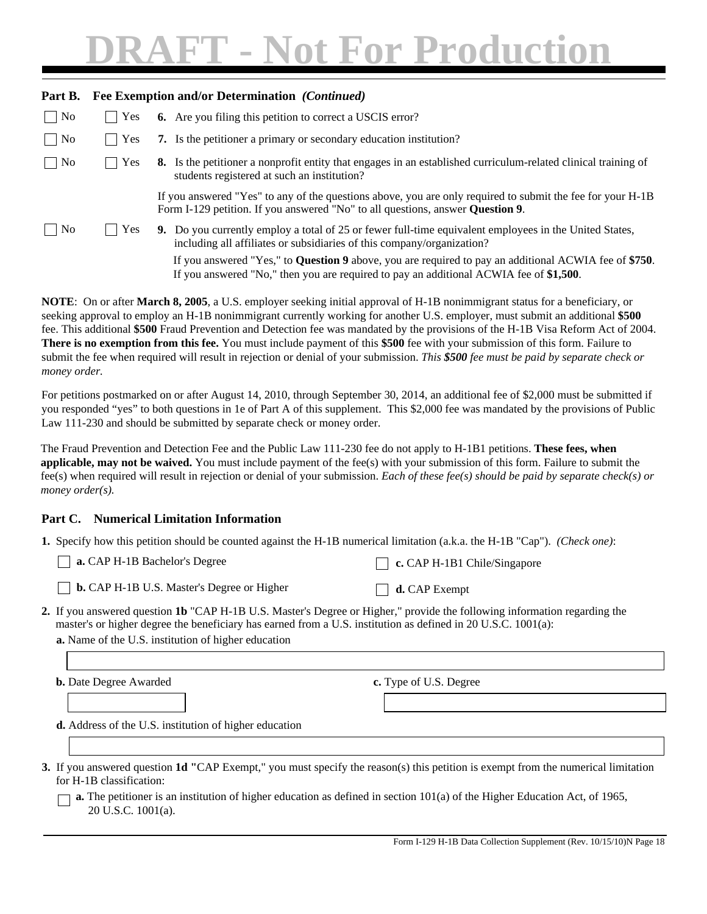## of For Production

| Part B.                     |                    | Fee Exemption and/or Determination (Continued)                                                                                                                                                         |
|-----------------------------|--------------------|--------------------------------------------------------------------------------------------------------------------------------------------------------------------------------------------------------|
| $\Box$ No                   | $ $ Yes            | <b>6.</b> Are you filing this petition to correct a USCIS error?                                                                                                                                       |
| $\Box$ No                   | $\blacksquare$ Yes | 7. Is the petitioner a primary or secondary education institution?                                                                                                                                     |
| $\Box$ No                   | Yes                | 8. Is the petitioner a nonprofit entity that engages in an established curriculum-related clinical training of<br>students registered at such an institution?                                          |
|                             |                    | If you answered "Yes" to any of the questions above, you are only required to submit the fee for your H-1B<br>Form I-129 petition. If you answered "No" to all questions, answer <b>Question 9</b> .   |
| $\overline{\phantom{1}}$ No | Yes                | 9. Do you currently employ a total of 25 or fewer full-time equivalent employees in the United States,<br>including all affiliates or subsidiaries of this company/organization?                       |
|                             |                    | If you answered "Yes," to <b>Question 9</b> above, you are required to pay an additional ACWIA fee of \$750.<br>If you answered "No," then you are required to pay an additional ACWIA fee of \$1,500. |

**NOTE**: On or after **March 8, 2005**, a U.S. employer seeking initial approval of H-1B nonimmigrant status for a beneficiary, or seeking approval to employ an H-1B nonimmigrant currently working for another U.S. employer, must submit an additional **\$500** fee. This additional **\$500** Fraud Prevention and Detection fee was mandated by the provisions of the H-1B Visa Reform Act of 2004. **There is no exemption from this fee.** You must include payment of this **\$500** fee with your submission of this form. Failure to submit the fee when required will result in rejection or denial of your submission. *This \$500 fee must be paid by separate check or money order.*

For petitions postmarked on or after August 14, 2010, through September 30, 2014, an additional fee of \$2,000 must be submitted if you responded "yes" to both questions in 1e of Part A of this supplement. This \$2,000 fee was mandated by the provisions of Public Law 111-230 and should be submitted by separate check or money order.

The Fraud Prevention and Detection Fee and the Public Law 111-230 fee do not apply to H-1B1 petitions. **These fees, when applicable, may not be waived.** You must include payment of the fee(s) with your submission of this form. Failure to submit the fee(s) when required will result in rejection or denial of your submission. *Each of these fee(s) should be paid by separate check(s) or money order(s).*

### **Part C. Numerical Limitation Information**

**a. D. L. D. D. L. D. D.** 

| $\Box$ <b>a.</b> CAP H-1B Bachelor's Degree | $\Box$ c. CAP H-1B1 Chile/Singapore |
|---------------------------------------------|-------------------------------------|
|                                             |                                     |

**b.** CAP H-1B U.S. Master's Degree or Higher

**d.** CAP Exempt

**2.** If you answered question **1b** "CAP H-1B U.S. Master's Degree or Higher," provide the following information regarding the master's or higher degree the beneficiary has earned from a U.S. institution as defined in 20 U.S.C. 1001(a):

**a.** Name of the U.S. institution of higher education

**b.** Date Degree Awarded **c.** Type of U.S. Degree

**d.** Address of the U.S. institution of higher education

| 3. If you answered question 1d "CAP Exempt," you must specify the reason(s) this petition is exempt from the numerical limitation |  |  |  |
|-----------------------------------------------------------------------------------------------------------------------------------|--|--|--|
| for H-1B classification:                                                                                                          |  |  |  |

**a.** The petitioner is an institution of higher education as defined in section 101(a) of the Higher Education Act, of 1965, 20 U.S.C. 1001(a).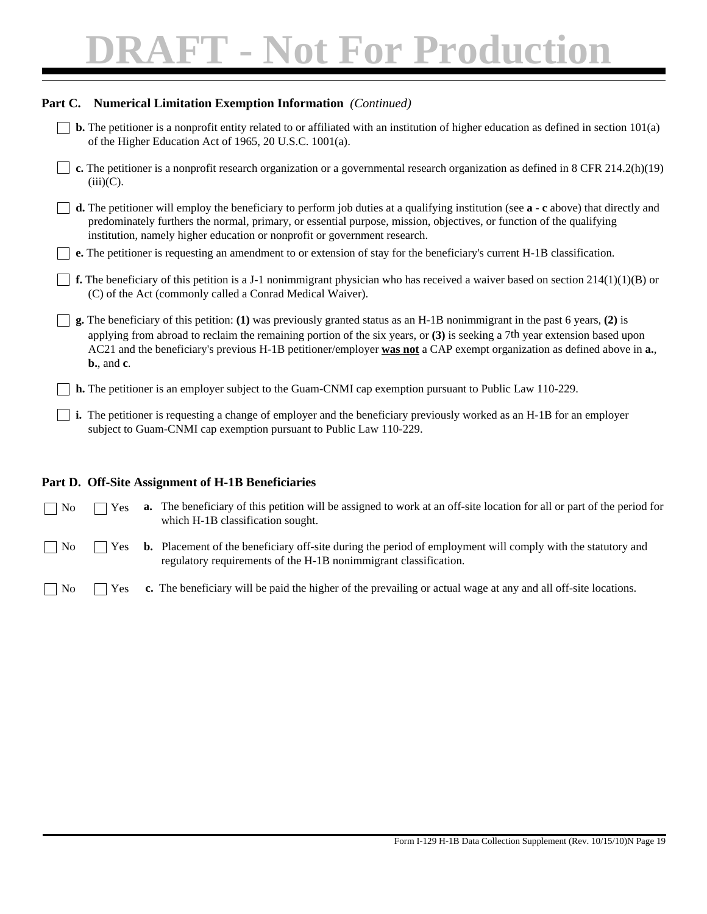# **- Not For Production**

| Part C. Numerical Limitation Exemption Information (Continued)                                                                                                                                                                                                                                                                                                                                                             |
|----------------------------------------------------------------------------------------------------------------------------------------------------------------------------------------------------------------------------------------------------------------------------------------------------------------------------------------------------------------------------------------------------------------------------|
| <b>b.</b> The petitioner is a nonprofit entity related to or affiliated with an institution of higher education as defined in section $101(a)$<br>of the Higher Education Act of 1965, 20 U.S.C. 1001(a).                                                                                                                                                                                                                  |
| c. The petitioner is a nonprofit research organization or a governmental research organization as defined in $8 \text{ CFR } 214.2 \text{ (h)}(19)$<br>$(iii)(C)$ .                                                                                                                                                                                                                                                        |
| d. The petitioner will employ the beneficiary to perform job duties at a qualifying institution (see a - c above) that directly and<br>predominately furthers the normal, primary, or essential purpose, mission, objectives, or function of the qualifying<br>institution, namely higher education or nonprofit or government research.                                                                                   |
| e. The petitioner is requesting an amendment to or extension of stay for the beneficiary's current H-1B classification.                                                                                                                                                                                                                                                                                                    |
| f. The beneficiary of this petition is a J-1 nonimmigrant physician who has received a waiver based on section $214(1)(1)(B)$ or<br>(C) of the Act (commonly called a Conrad Medical Waiver).                                                                                                                                                                                                                              |
| <b>g.</b> The beneficiary of this petition: (1) was previously granted status as an H-1B nonimmigrant in the past 6 years, (2) is<br>applying from abroad to reclaim the remaining portion of the six years, or $(3)$ is seeking a 7 <sup>th</sup> year extension based upon<br>AC21 and the beneficiary's previous H-1B petitioner/employer was not a CAP exempt organization as defined above in a.,<br>$b.$ , and $c$ . |
| h. The petitioner is an employer subject to the Guam-CNMI cap exemption pursuant to Public Law 110-229.                                                                                                                                                                                                                                                                                                                    |
| i. The petitioner is requesting a change of employer and the beneficiary previously worked as an H-1B for an employer<br>subject to Guam-CNMI cap exemption pursuant to Public Law 110-229.                                                                                                                                                                                                                                |

### **Part D. Off-Site Assignment of H-1B Beneficiaries**

| $\Box$ No |  | $\Box$ Yes <b>a.</b> The beneficiary of this petition will be assigned to work at an off-site location for all or part of the period for |
|-----------|--|------------------------------------------------------------------------------------------------------------------------------------------|
|           |  | which H-1B classification sought.                                                                                                        |

**b.** Placement of the beneficiary off-site during the period of employment will comply with the statutory and regulatory requirements of the H-1B nonimmigrant classification. Yes  $\Box$  No

**c.** The beneficiary will be paid the higher of the prevailing or actual wage at any and all off-site locations. No Yes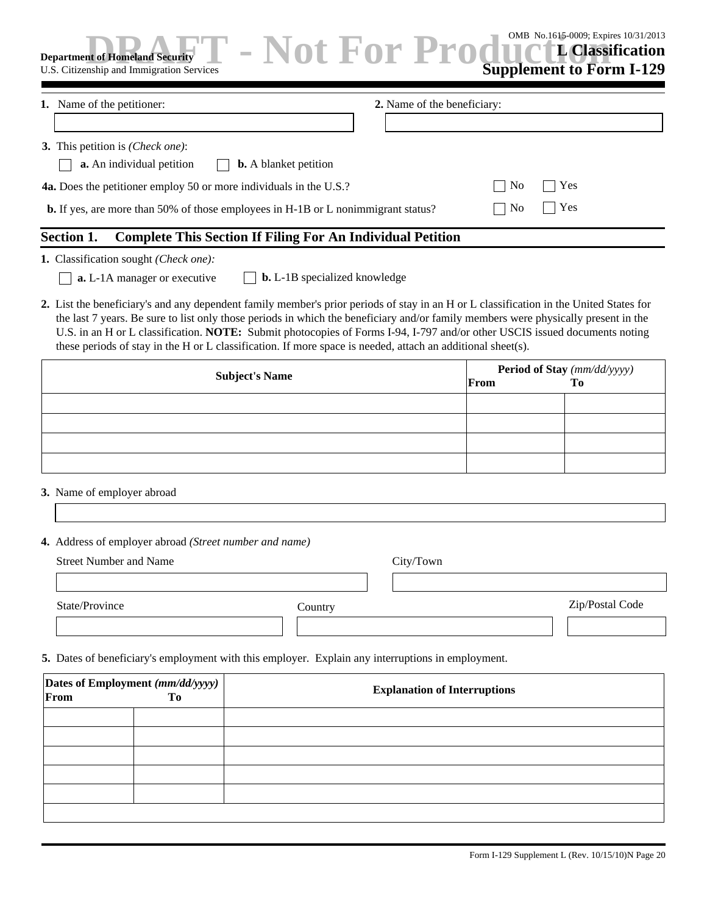| <b>EXECUTE:</b> Sarvices Descriptions Contains 100 and Supplement to Form I-129<br><b>Department of Homeland Security</b><br>U.S. Citizenship and Immigration Services |                                      |                |     |
|------------------------------------------------------------------------------------------------------------------------------------------------------------------------|--------------------------------------|----------------|-----|
| 1. Name of the petitioner:                                                                                                                                             | 2. Name of the beneficiary:          |                |     |
| <b>3.</b> This petition is <i>(Check one)</i> :<br><b>a.</b> An individual petition<br><b>b.</b> A blanket petition                                                    |                                      |                |     |
| <b>4a.</b> Does the petitioner employ 50 or more individuals in the U.S.?                                                                                              |                                      | N <sub>o</sub> | Yes |
| <b>b.</b> If yes, are more than 50% of those employees in H-1B or L nonimmigrant status?                                                                               |                                      | N <sub>o</sub> | Yes |
| <b>Complete This Section If Filing For An Individual Petition</b><br>Section 1.                                                                                        |                                      |                |     |
| <b>1.</b> Classification sought <i>(Check one)</i> :<br><b>a.</b> L-1A manager or executive                                                                            | <b>b.</b> L-1B specialized knowledge |                |     |

**2.** List the beneficiary's and any dependent family member's prior periods of stay in an H or L classification in the United States for the last 7 years. Be sure to list only those periods in which the beneficiary and/or family members were physically present in the U.S. in an H or L classification. **NOTE:** Submit photocopies of Forms I-94, I-797 and/or other USCIS issued documents noting these periods of stay in the H or L classification. If more space is needed, attach an additional sheet(s).

| <b>Subject's Name</b> | <b>Period of Stay</b> (mm/dd/yyyy) |    |  |
|-----------------------|------------------------------------|----|--|
|                       | From                               | To |  |
|                       |                                    |    |  |
|                       |                                    |    |  |
|                       |                                    |    |  |
|                       |                                    |    |  |

### **3.** Name of employer abroad

**4.** Address of employer abroad *(Street number and name)*

| <b>Street Number and Name</b> | City/Town |                 |
|-------------------------------|-----------|-----------------|
|                               |           |                 |
| State/Province                | Country   | Zip/Postal Code |
|                               |           |                 |

**5.** Dates of beneficiary's employment with this employer. Explain any interruptions in employment.

| From | Dates of Employment $(mm/dd/yyyy)$<br>To | <b>Explanation of Interruptions</b> |
|------|------------------------------------------|-------------------------------------|
|      |                                          |                                     |
|      |                                          |                                     |
|      |                                          |                                     |
|      |                                          |                                     |
|      |                                          |                                     |
|      |                                          |                                     |

OMB No.1615-0009; Expires 10/31/2013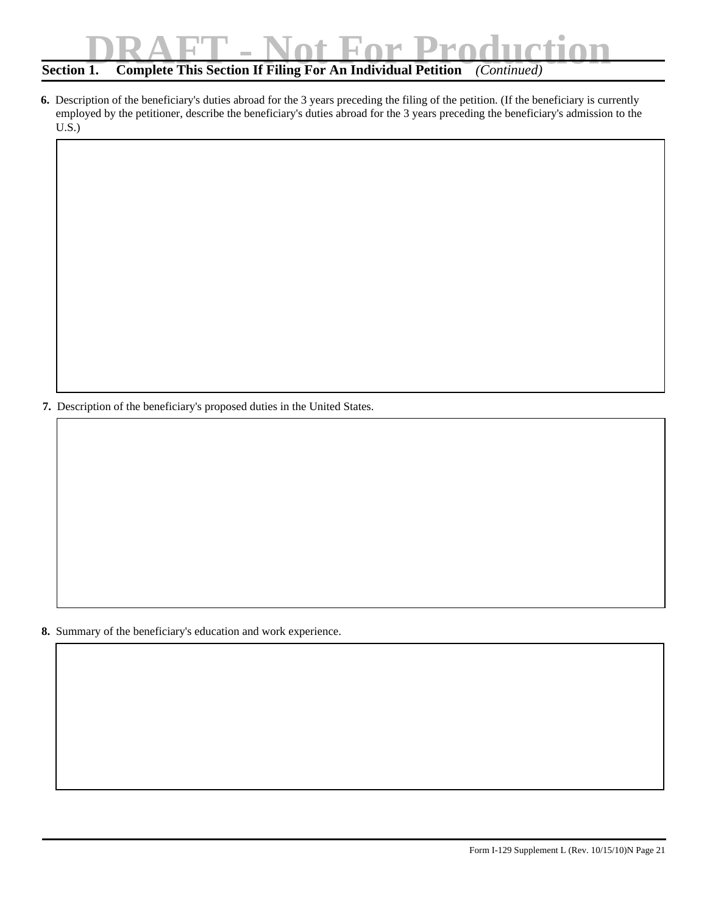# **DRAFT - Note This Section If Filing For An Individual Petition** *(Continued)*

**6.** Description of the beneficiary's duties abroad for the 3 years preceding the filing of the petition. (If the beneficiary is currently employed by the petitioner, describe the beneficiary's duties abroad for the 3 years preceding the beneficiary's admission to the U.S.)

**7.** Description of the beneficiary's proposed duties in the United States.

**8.** Summary of the beneficiary's education and work experience.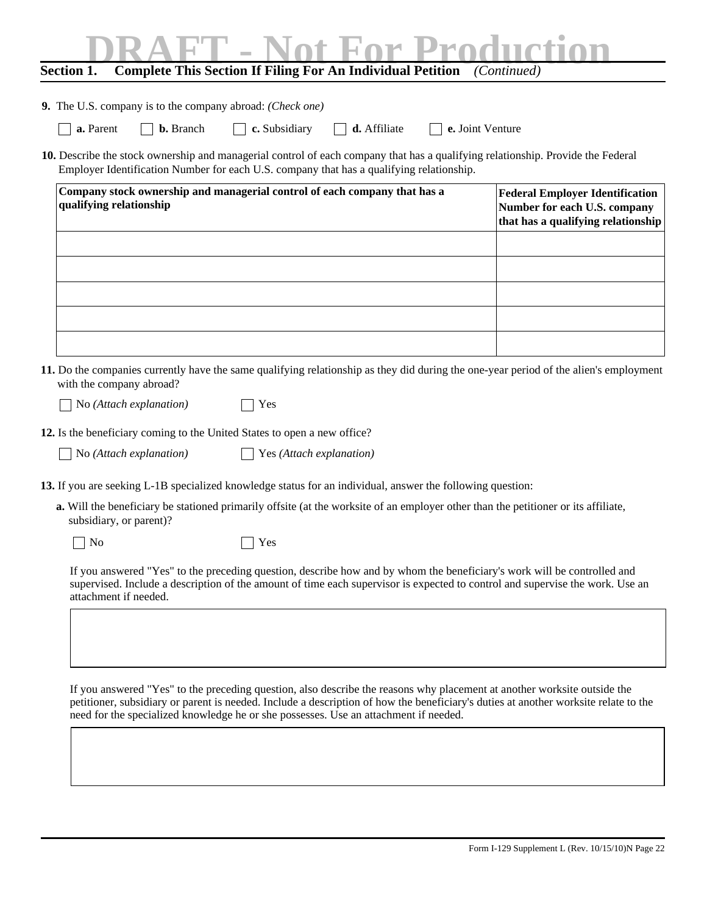# **DRAFT - Note This Section If Filing For An Individual Petition** *(Continued)*

|  |  | 9. The U.S. company is to the company abroad: (Check one) |  |  |  |  |
|--|--|-----------------------------------------------------------|--|--|--|--|
|--|--|-----------------------------------------------------------|--|--|--|--|

| a. Parent |  |
|-----------|--|
|-----------|--|

**b.** Branch **c.** Subsidiary **d.** Affiliate **e.** Joint Venture

**10.** Describe the stock ownership and managerial control of each company that has a qualifying relationship. Provide the Federal Employer Identification Number for each U.S. company that has a qualifying relationship.

| Company stock ownership and managerial control of each company that has a<br>qualifying relationship | <b>Federal Employer Identification</b><br>Number for each U.S. company<br>that has a qualifying relationship |
|------------------------------------------------------------------------------------------------------|--------------------------------------------------------------------------------------------------------------|
|                                                                                                      |                                                                                                              |
|                                                                                                      |                                                                                                              |
|                                                                                                      |                                                                                                              |
|                                                                                                      |                                                                                                              |
|                                                                                                      |                                                                                                              |

**11.** Do the companies currently have the same qualifying relationship as they did during the one-year period of the alien's employment with the company abroad?

No *(Attach explanation)*

Yes

**12.** Is the beneficiary coming to the United States to open a new office?

No *(Attach explanation)*

Yes *(Attach explanation)*

**13.** If you are seeking L-1B specialized knowledge status for an individual, answer the following question:

**a.** Will the beneficiary be stationed primarily offsite (at the worksite of an employer other than the petitioner or its affiliate, subsidiary, or parent)?

 $\Box$  No  $\Box$  Yes

If you answered "Yes" to the preceding question, describe how and by whom the beneficiary's work will be controlled and supervised. Include a description of the amount of time each supervisor is expected to control and supervise the work. Use an attachment if needed.

If you answered "Yes" to the preceding question, also describe the reasons why placement at another worksite outside the petitioner, subsidiary or parent is needed. Include a description of how the beneficiary's duties at another worksite relate to the need for the specialized knowledge he or she possesses. Use an attachment if needed.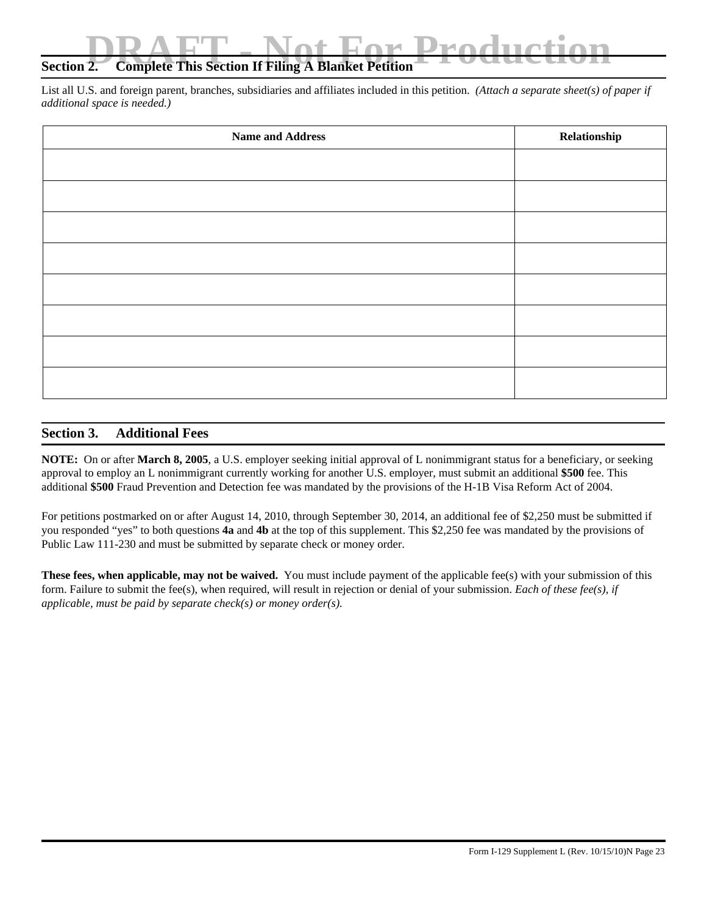### **Section 2. Complete This Section If Filing A Blanket Petition**

List all U.S. and foreign parent, branches, subsidiaries and affiliates included in this petition. *(Attach a separate sheet(s) of paper if additional space is needed.)*

| <b>Name and Address</b> | Relationship |
|-------------------------|--------------|
|                         |              |
|                         |              |
|                         |              |
|                         |              |
|                         |              |
|                         |              |
|                         |              |
|                         |              |
|                         |              |

### **Section 3. Additional Fees**

**NOTE:** On or after **March 8, 2005**, a U.S. employer seeking initial approval of L nonimmigrant status for a beneficiary, or seeking approval to employ an L nonimmigrant currently working for another U.S. employer, must submit an additional **\$500** fee. This additional **\$500** Fraud Prevention and Detection fee was mandated by the provisions of the H-1B Visa Reform Act of 2004.

For petitions postmarked on or after August 14, 2010, through September 30, 2014, an additional fee of \$2,250 must be submitted if you responded "yes" to both questions **4a** and **4b** at the top of this supplement. This \$2,250 fee was mandated by the provisions of Public Law 111-230 and must be submitted by separate check or money order.

**These fees, when applicable, may not be waived.** You must include payment of the applicable fee(s) with your submission of this form. Failure to submit the fee(s), when required, will result in rejection or denial of your submission. *Each of these fee(s), if applicable, must be paid by separate check(s) or money order(s).*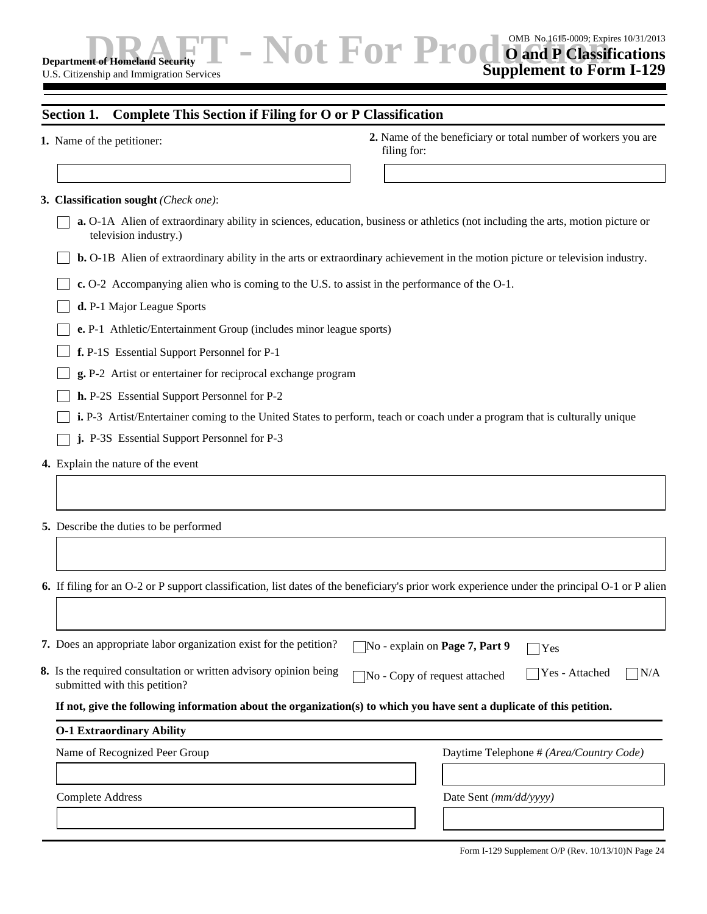Not For Prodoand P Classifications **Supplement to Form I-129** OMB No.1615-0009; Expires 10/31/2013

### **Section 1. Complete This Section if Filing for O or P Classification**

|  |  |  |  | 1. Name of the petitioner: |
|--|--|--|--|----------------------------|
|--|--|--|--|----------------------------|

L

**2.** Name of the beneficiary or total number of workers you are filing for:

**3. Classification sought** *(Check one)*:

| a. O-1A Alien of extraordinary ability in sciences, education, business or athletics (not including the arts, motion picture or |  |
|---------------------------------------------------------------------------------------------------------------------------------|--|
| television industry.)                                                                                                           |  |

- **b.** O-1B Alien of extraordinary ability in the arts or extraordinary achievement in the motion picture or television industry.
- **c.** O-2 Accompanying alien who is coming to the U.S. to assist in the performance of the O-1.
- **d.** P-1 Major League Sports
- **e.** P-1 Athletic/Entertainment Group (includes minor league sports)
- **f.** P-1S Essential Support Personnel for P-1
- **g.** P-2 Artist or entertainer for reciprocal exchange program
- **h.** P-2S Essential Support Personnel for P-2
- **i.** P-3 Artist/Entertainer coming to the United States to perform, teach or coach under a program that is culturally unique
- **j.** P-3S Essential Support Personnel for P-3
- **4.** Explain the nature of the event
- **5.** Describe the duties to be performed

**6.** If filing for an O-2 or P support classification, list dates of the beneficiary's prior work experience under the principal O-1 or P alien

| 7. Does an appropriate labor organization exist for the petition?                                  | $\Box$ No - explain on <b>Page 7, Part 9</b> | $\bigcap$ Yes            |             |
|----------------------------------------------------------------------------------------------------|----------------------------------------------|--------------------------|-------------|
| 8. Is the required consultation or written advisory opinion being<br>submitted with this petition? | No - Copy of request attached                | $\bigcap$ Yes - Attached | $\big $ N/A |

### **If not, give the following information about the organization(s) to which you have sent a duplicate of this petition.**

#### **O-1 Extraordinary Ability**

| Name of Recognized Peer Group | Daytime Telephone # (Area/Country Code) |
|-------------------------------|-----------------------------------------|
|                               |                                         |
| <b>Complete Address</b>       | Date Sent $(mm/dd/vyyy)$                |
|                               |                                         |

Form I-129 Supplement O/P (Rev. 10/13/10)N Page 24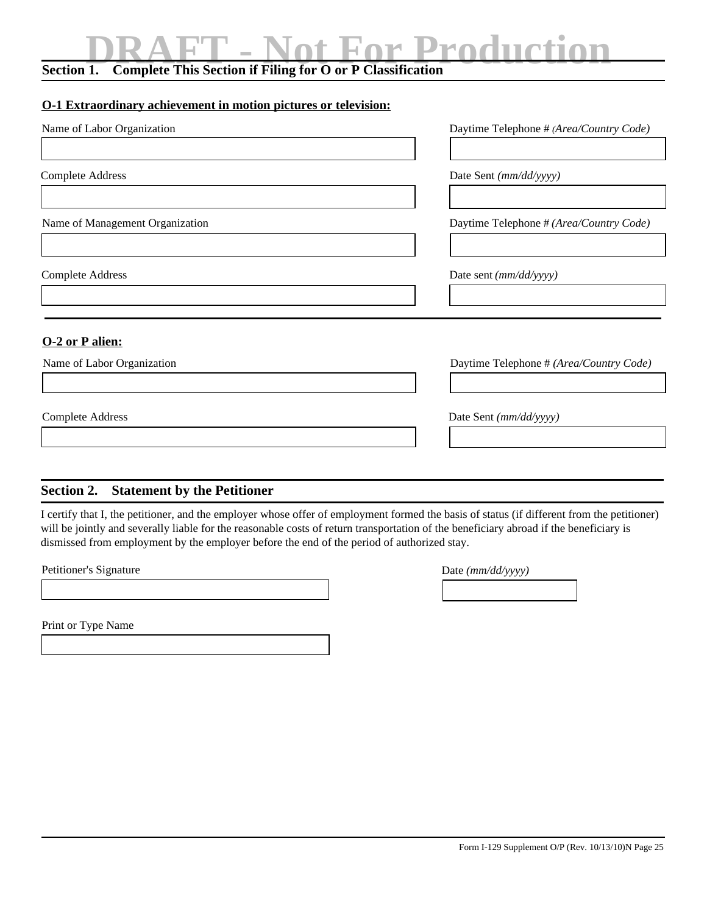# **DRAFT - NOT PRODUCTION**

### **O-1 Extraordinary achievement in motion pictures or television:**

| Name of Labor Organization                       | Daytime Telephone # (Area/Country Code) |
|--------------------------------------------------|-----------------------------------------|
| <b>Complete Address</b>                          | Date Sent (mm/dd/yyyy)                  |
| Name of Management Organization                  | Daytime Telephone # (Area/Country Code) |
| <b>Complete Address</b>                          | Date sent (mm/dd/yyyy)                  |
| <b>O-2 or P alien:</b>                           |                                         |
| Name of Labor Organization                       | Daytime Telephone # (Area/Country Code) |
| Complete Address                                 | Date Sent (mm/dd/yyyy)                  |
| Section 2.<br><b>Statement by the Petitioner</b> |                                         |

### I certify that I, the petitioner, and the employer whose offer of employment formed the basis of status (if different from the petitioner) will be jointly and severally liable for the reasonable costs of return transportation of the beneficiary abroad if the beneficiary is

dismissed from employment by the employer before the end of the period of authorized stay.

Petitioner's Signature

| Date (mm/dd/yyyy) |  |
|-------------------|--|
|                   |  |

Print or Type Name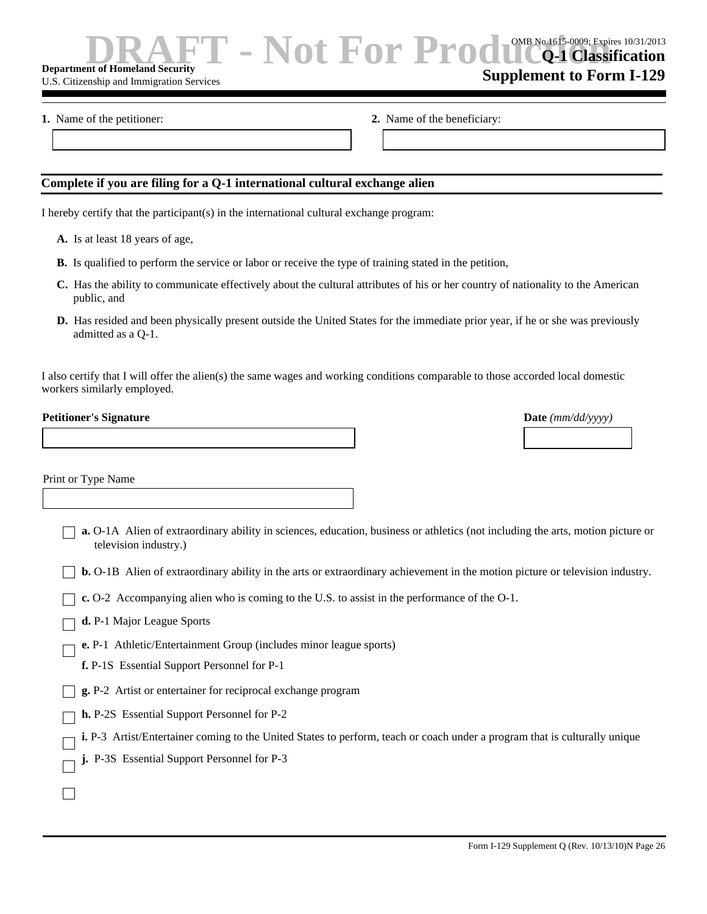### **Department of Homeland Security**

U.S. Citizenship and Immigration Services

**1.** Name of the petitioner: **2.** Name of the beneficiary:

### **Complete if you are filing for a Q-1 international cultural exchange alien**

I hereby certify that the participant(s) in the international cultural exchange program:

- **A.** Is at least 18 years of age,
- **B.** Is qualified to perform the service or labor or receive the type of training stated in the petition,
- **C.** Has the ability to communicate effectively about the cultural attributes of his or her country of nationality to the American public, and
- **D.** Has resided and been physically present outside the United States for the immediate prior year, if he or she was previously admitted as a Q-1.

I also certify that I will offer the alien(s) the same wages and working conditions comparable to those accorded local domestic workers similarly employed.

### **Petitioner's Signature Date** *(mm/dd/yyyy)*

 $\Box$ 

| Print or Type Name |  |  |
|--------------------|--|--|
|                    |  |  |

**a.** O-1A Alien of extraordinary ability in sciences, education, business or athletics (not including the arts, motion picture or television industry.)

**b.** O-1B Alien of extraordinary ability in the arts or extraordinary achievement in the motion picture or television industry.

**c.** O-2 Accompanying alien who is coming to the U.S. to assist in the performance of the O-1.

- **d.** P-1 Major League Sports
- **e.** P-1 Athletic/Entertainment Group (includes minor league sports)
- **f.** P-1S Essential Support Personnel for P-1
- **g.** P-2 Artist or entertainer for reciprocal exchange program
- **h.** P-2S Essential Support Personnel for P-2
- **i.** P-3 Artist/Entertainer coming to the United States to perform, teach or coach under a program that is culturally unique
- **j.** P-3S Essential Support Personnel for P-3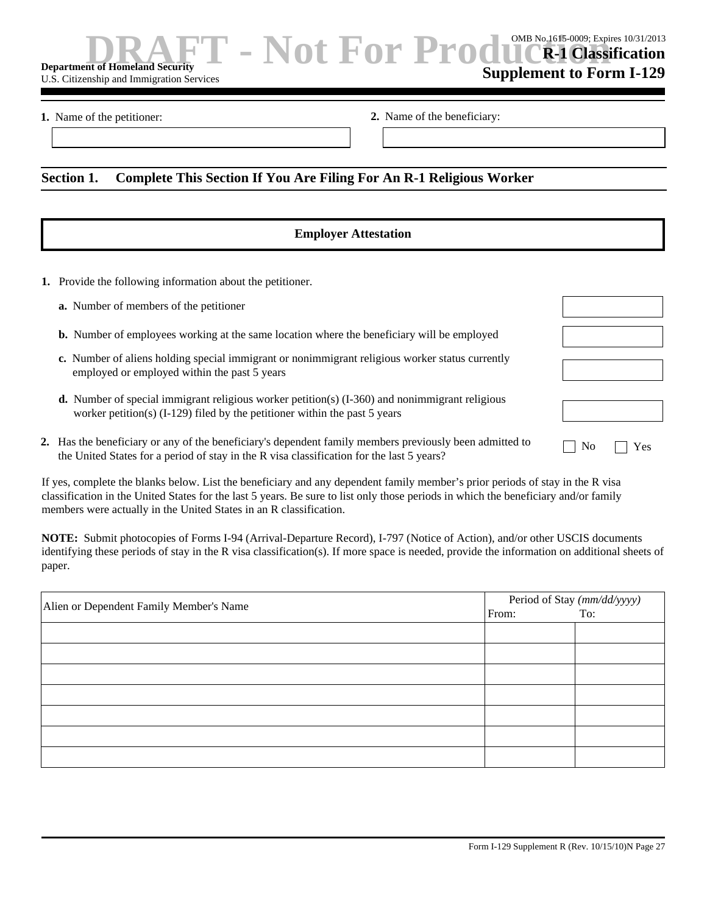#### **Department of Homeland Security**  U.S. Citizenship and Immigration Services

**1.** Name of the petitioner: **2.** Name of the beneficiary:

### **Section 1. Complete This Section If You Are Filing For An R-1 Religious Worker**

### **Employer Attestation**

**1.** Provide the following information about the petitioner.

| <b>a.</b> Number of members of the petitioner                                                                                                                                                        |    |     |
|------------------------------------------------------------------------------------------------------------------------------------------------------------------------------------------------------|----|-----|
| <b>b.</b> Number of employees working at the same location where the beneficiary will be employed                                                                                                    |    |     |
| c. Number of aliens holding special immigrant or nonimmigrant religious worker status currently<br>employed or employed within the past 5 years                                                      |    |     |
| <b>d.</b> Number of special immigrant religious worker petition(s) $(I-360)$ and nonimmigrant religious<br>worker petition(s) $(I-129)$ filed by the petitioner within the past 5 years              |    |     |
| 2. Has the beneficiary or any of the beneficiary's dependent family members previously been admitted to<br>the United States for a period of stay in the R visa classification for the last 5 years? | No | Yes |

If yes, complete the blanks below. List the beneficiary and any dependent family member's prior periods of stay in the R visa classification in the United States for the last 5 years. Be sure to list only those periods in which the beneficiary and/or family members were actually in the United States in an R classification.

**NOTE:** Submit photocopies of Forms I-94 (Arrival-Departure Record), I-797 (Notice of Action), and/or other USCIS documents identifying these periods of stay in the R visa classification(s). If more space is needed, provide the information on additional sheets of paper.

| Alien or Dependent Family Member's Name | Period of Stay (mm/dd/yyyy)<br>m: To: |  |  |
|-----------------------------------------|---------------------------------------|--|--|
|                                         | From:                                 |  |  |
|                                         |                                       |  |  |
|                                         |                                       |  |  |
|                                         |                                       |  |  |
|                                         |                                       |  |  |
|                                         |                                       |  |  |
|                                         |                                       |  |  |
|                                         |                                       |  |  |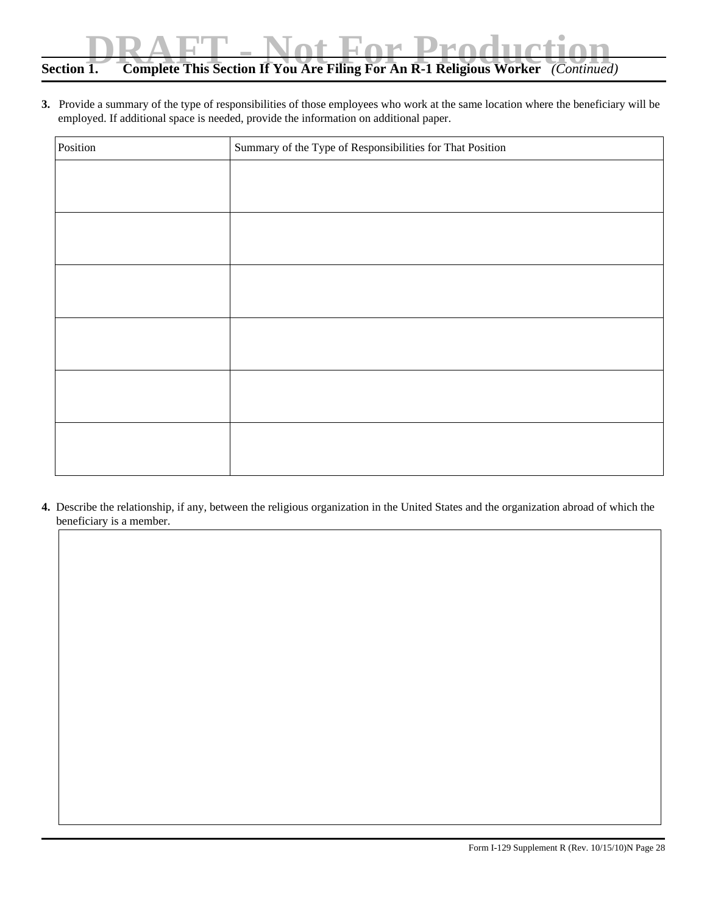**3.** Provide a summary of the type of responsibilities of those employees who work at the same location where the beneficiary will be employed. If additional space is needed, provide the information on additional paper.

| Position | Summary of the Type of Responsibilities for That Position |
|----------|-----------------------------------------------------------|
|          |                                                           |
|          |                                                           |
|          |                                                           |
|          |                                                           |
|          |                                                           |
|          |                                                           |
|          |                                                           |
|          |                                                           |
|          |                                                           |
|          |                                                           |
|          |                                                           |
|          |                                                           |

**4.** Describe the relationship, if any, between the religious organization in the United States and the organization abroad of which the beneficiary is a member.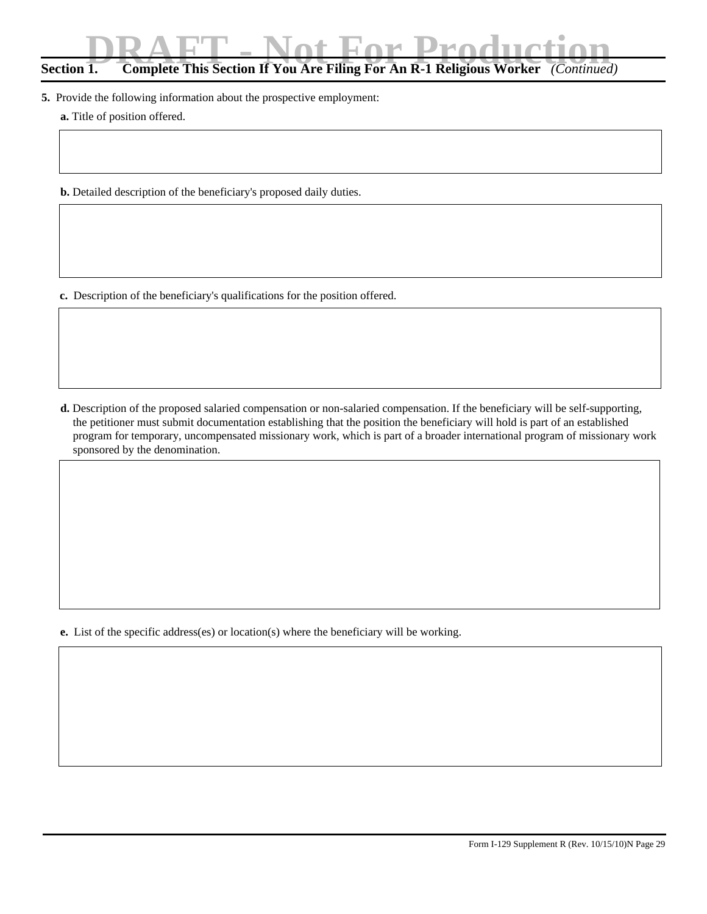# **DRAFT - Notify Article This Section If You Are Filing For An R-1 Religious Worker** *(Continued)*

**5.** Provide the following information about the prospective employment:

**a.** Title of position offered.

**b.** Detailed description of the beneficiary's proposed daily duties.

**c.** Description of the beneficiary's qualifications for the position offered.

**d.** Description of the proposed salaried compensation or non-salaried compensation. If the beneficiary will be self-supporting, the petitioner must submit documentation establishing that the position the beneficiary will hold is part of an established program for temporary, uncompensated missionary work, which is part of a broader international program of missionary work sponsored by the denomination.

**e.** List of the specific address(es) or location(s) where the beneficiary will be working.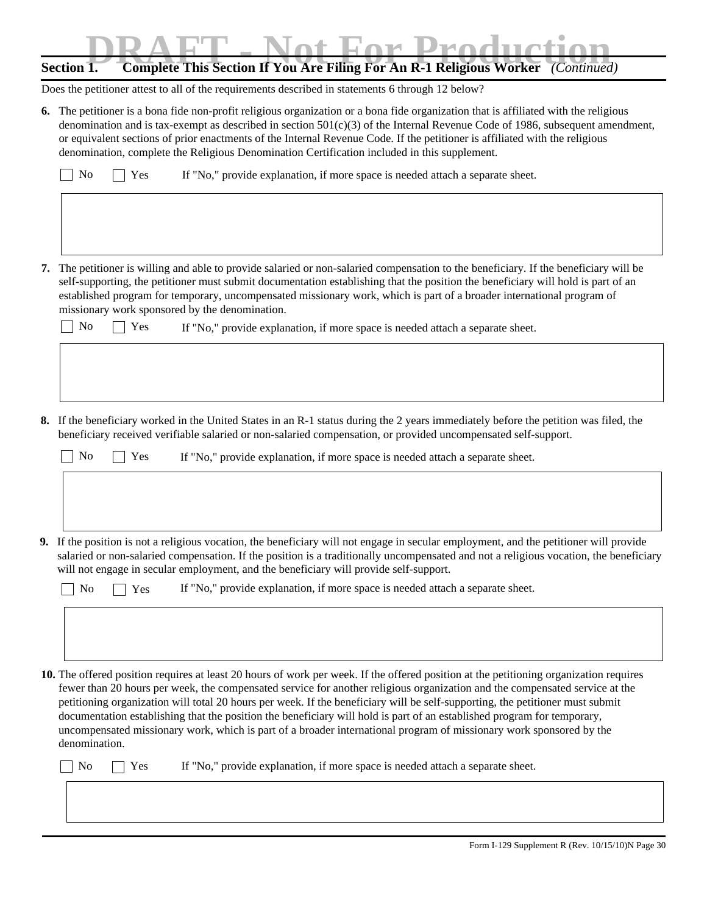# **DRAFT - Notify Article This Section If You Are Filing For An R-1 Religious Worker** *(Continued)*

Does the petitioner attest to all of the requirements described in statements 6 through 12 below?

**6.** The petitioner is a bona fide non-profit religious organization or a bona fide organization that is affiliated with the religious denomination and is tax-exempt as described in section  $501(c)(3)$  of the Internal Revenue Code of 1986, subsequent amendment, or equivalent sections of prior enactments of the Internal Revenue Code. If the petitioner is affiliated with the religious denomination, complete the Religious Denomination Certification included in this supplement.

| $\Box$ No $\Box$ Yes<br>If "No," provide explanation, if more space is needed attach a separate sheet. |  |
|--------------------------------------------------------------------------------------------------------|--|
|--------------------------------------------------------------------------------------------------------|--|

**7.** The petitioner is willing and able to provide salaried or non-salaried compensation to the beneficiary. If the beneficiary will be self-supporting, the petitioner must submit documentation establishing that the position the beneficiary will hold is part of an established program for temporary, uncompensated missionary work, which is part of a broader international program of missionary work sponsored by the denomination.

| ↘ | - - |
|---|-----|
|   |     |

Г

If "No," provide explanation, if more space is needed attach a separate sheet.

**8.** If the beneficiary worked in the United States in an R-1 status during the 2 years immediately before the petition was filed, the beneficiary received verifiable salaried or non-salaried compensation, or provided uncompensated self-support.

**9.** If the position is not a religious vocation, the beneficiary will not engage in secular employment, and the petitioner will provide If "No," provide explanation, if more space is needed attach a separate sheet. No P Yes

salaried or non-salaried compensation. If the position is a traditionally uncompensated and not a religious vocation, the beneficiary will not engage in secular employment, and the beneficiary will provide self-support.

|  | $\neg$ No $\neg$ Yes |  | If "No," provide explanation, if more space is needed attach a separate sheet. |  |  |  |  |  |  |  |
|--|----------------------|--|--------------------------------------------------------------------------------|--|--|--|--|--|--|--|
|--|----------------------|--|--------------------------------------------------------------------------------|--|--|--|--|--|--|--|

**10.** The offered position requires at least 20 hours of work per week. If the offered position at the petitioning organization requires fewer than 20 hours per week, the compensated service for another religious organization and the compensated service at the petitioning organization will total 20 hours per week. If the beneficiary will be self-supporting, the petitioner must submit documentation establishing that the position the beneficiary will hold is part of an established program for temporary, uncompensated missionary work, which is part of a broader international program of missionary work sponsored by the denomination.

|  |  | □ No □ Yes If "No," provide explanation, if more space is needed attach a separate sheet. |  |
|--|--|-------------------------------------------------------------------------------------------|--|
|--|--|-------------------------------------------------------------------------------------------|--|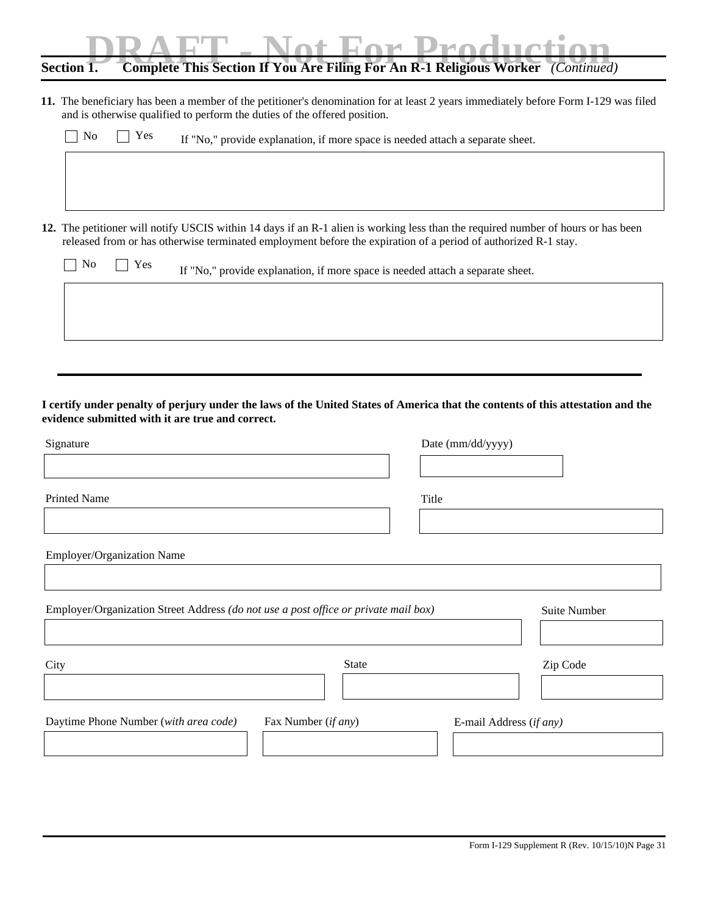# **DRAFT - Notify Article This Section If You Are Filing For An R-1 Religious Worker** *(Continued)*

| 11. The beneficiary has been a member of the petitioner's denomination for at least 2 years immediately before Form I-129 was filed |
|-------------------------------------------------------------------------------------------------------------------------------------|
| and is otherwise qualified to perform the duties of the offered position.                                                           |

| Yes<br>N <sub>0</sub> | If "No," provide explanation, if more space is needed attach a separate sheet.                                                                                                                                                                      |
|-----------------------|-----------------------------------------------------------------------------------------------------------------------------------------------------------------------------------------------------------------------------------------------------|
|                       |                                                                                                                                                                                                                                                     |
|                       |                                                                                                                                                                                                                                                     |
|                       |                                                                                                                                                                                                                                                     |
|                       |                                                                                                                                                                                                                                                     |
|                       | 12. The petitioner will notify USCIS within 14 days if an R-1 alien is working less than the required number of hours or has been<br>released from or has otherwise terminated employment before the expiration of a period of authorized R-1 stay. |

**I certify under penalty of perjury under the laws of the United States of America that the contents of this attestation and the evidence submitted with it are true and correct.**

| Signature                                                                           |                     | Date (mm/dd/yyyy)       |                     |
|-------------------------------------------------------------------------------------|---------------------|-------------------------|---------------------|
|                                                                                     |                     |                         |                     |
| <b>Printed Name</b>                                                                 |                     | Title                   |                     |
|                                                                                     |                     |                         |                     |
| Employer/Organization Name                                                          |                     |                         |                     |
|                                                                                     |                     |                         |                     |
| Employer/Organization Street Address (do not use a post office or private mail box) |                     |                         | <b>Suite Number</b> |
| City                                                                                | State               |                         | Zip Code            |
|                                                                                     |                     |                         |                     |
| Daytime Phone Number (with area code)                                               | Fax Number (if any) | E-mail Address (if any) |                     |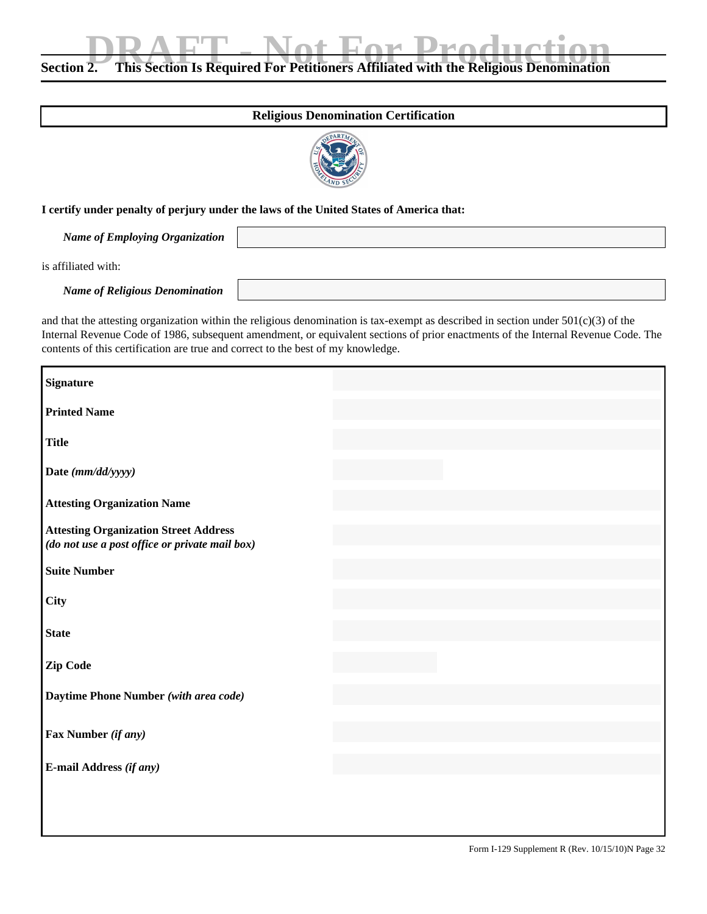# **DRAFT - Notify Accept 2. This Section Is Required For Petitioners Affiliated with the Religious Denomination**

### **Religious Denomination Certification**



### **I certify under penalty of perjury under the laws of the United States of America that:**

*Name of Employing Organization*

is affiliated with:

*Name of Religious Denomination*

and that the attesting organization within the religious denomination is tax-exempt as described in section under 501(c)(3) of the Internal Revenue Code of 1986, subsequent amendment, or equivalent sections of prior enactments of the Internal Revenue Code. The contents of this certification are true and correct to the best of my knowledge.

| <b>Signature</b>                                                                               |                                  |
|------------------------------------------------------------------------------------------------|----------------------------------|
| <b>Printed Name</b>                                                                            |                                  |
| <b>Title</b>                                                                                   |                                  |
| Date (mm/dd/yyyy)                                                                              |                                  |
| <b>Attesting Organization Name</b>                                                             |                                  |
| <b>Attesting Organization Street Address</b><br>(do not use a post office or private mail box) |                                  |
| <b>Suite Number</b>                                                                            |                                  |
| <b>City</b>                                                                                    |                                  |
| <b>State</b>                                                                                   | $\vert \blacktriangledown \vert$ |
| <b>Zip Code</b>                                                                                |                                  |
| Daytime Phone Number (with area code)                                                          |                                  |
| Fax Number (if any)                                                                            |                                  |
| E-mail Address (if any)                                                                        |                                  |
|                                                                                                |                                  |
|                                                                                                |                                  |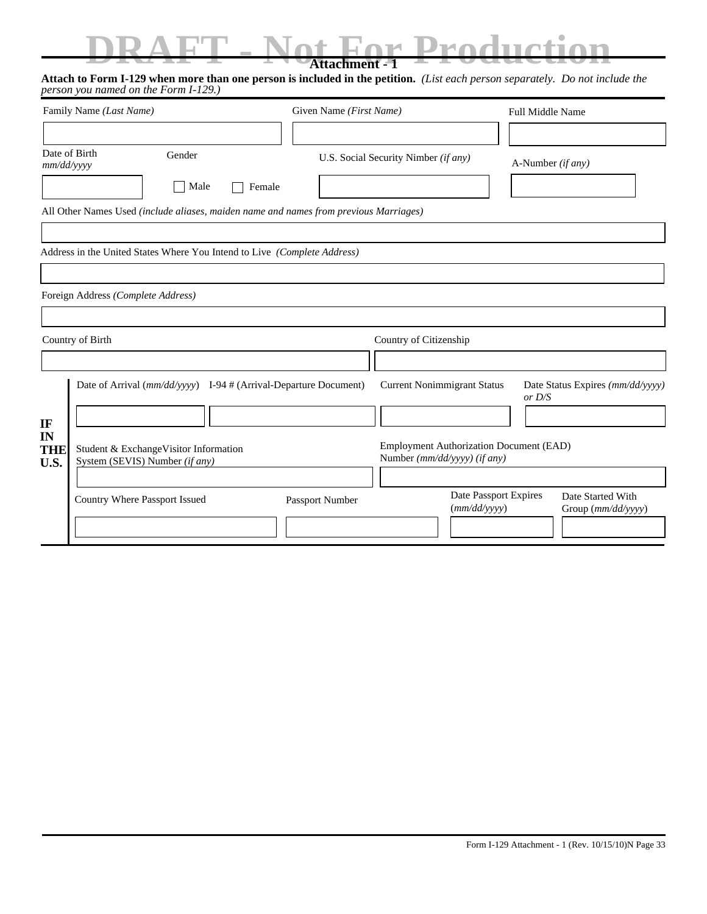## $N$ <sup>*Attachment -1* Production</sup>

|                             | Family Name (Last Name)            |                                                                         |                                                                          | Given Name (First Name)                                                               |                                                                                | <b>Full Middle Name</b> |                                  |
|-----------------------------|------------------------------------|-------------------------------------------------------------------------|--------------------------------------------------------------------------|---------------------------------------------------------------------------------------|--------------------------------------------------------------------------------|-------------------------|----------------------------------|
| Date of Birth<br>mm/dd/yyyy |                                    | Gender                                                                  |                                                                          |                                                                                       | U.S. Social Security Nimber (if any)                                           |                         | A-Number (if any)                |
|                             |                                    | Male                                                                    | Female                                                                   |                                                                                       |                                                                                |                         |                                  |
|                             |                                    |                                                                         |                                                                          | All Other Names Used (include aliases, maiden name and names from previous Marriages) |                                                                                |                         |                                  |
|                             |                                    |                                                                         |                                                                          |                                                                                       |                                                                                |                         |                                  |
|                             |                                    |                                                                         | Address in the United States Where You Intend to Live (Complete Address) |                                                                                       |                                                                                |                         |                                  |
|                             | Foreign Address (Complete Address) |                                                                         |                                                                          |                                                                                       |                                                                                |                         |                                  |
|                             | Country of Birth                   |                                                                         |                                                                          |                                                                                       | Country of Citizenship                                                         |                         |                                  |
|                             |                                    |                                                                         |                                                                          |                                                                                       |                                                                                |                         |                                  |
|                             |                                    |                                                                         | Date of Arrival (mm/dd/yyyy) I-94 # (Arrival-Departure Document)         |                                                                                       | <b>Current Nonimmigrant Status</b>                                             | or D/S                  | Date Status Expires (mm/dd/yyyy) |
| IF                          |                                    |                                                                         |                                                                          |                                                                                       |                                                                                |                         |                                  |
| IN<br><b>THE</b><br>U.S.    |                                    | Student & ExchangeVisitor Information<br>System (SEVIS) Number (if any) |                                                                          |                                                                                       | <b>Employment Authorization Document (EAD)</b><br>Number (mm/dd/yyyy) (if any) |                         |                                  |
|                             |                                    |                                                                         |                                                                          |                                                                                       |                                                                                |                         |                                  |
|                             |                                    |                                                                         |                                                                          |                                                                                       |                                                                                |                         |                                  |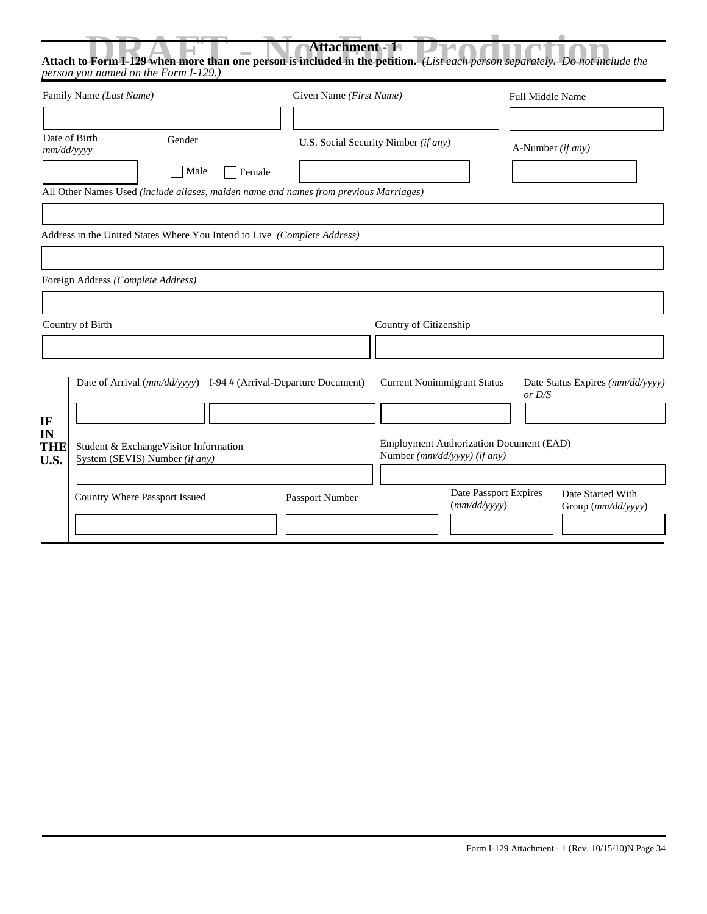| Family Name (Last Name)            |                                                                                       | Given Name (First Name) |                                                                                | <b>Full Middle Name</b>                                          |
|------------------------------------|---------------------------------------------------------------------------------------|-------------------------|--------------------------------------------------------------------------------|------------------------------------------------------------------|
|                                    |                                                                                       |                         |                                                                                |                                                                  |
| Date of Birth<br>mm/dd/yyyy        | Gender                                                                                |                         | U.S. Social Security Nimber (if any)                                           | A-Number (if any)                                                |
|                                    | Male<br>Female                                                                        |                         |                                                                                |                                                                  |
|                                    | All Other Names Used (include aliases, maiden name and names from previous Marriages) |                         |                                                                                |                                                                  |
|                                    |                                                                                       |                         |                                                                                |                                                                  |
|                                    | Address in the United States Where You Intend to Live (Complete Address)              |                         |                                                                                |                                                                  |
|                                    |                                                                                       |                         |                                                                                |                                                                  |
| Foreign Address (Complete Address) |                                                                                       |                         |                                                                                |                                                                  |
|                                    |                                                                                       |                         |                                                                                |                                                                  |
| Country of Birth                   |                                                                                       |                         |                                                                                |                                                                  |
|                                    |                                                                                       |                         | Country of Citizenship                                                         |                                                                  |
|                                    |                                                                                       |                         |                                                                                |                                                                  |
|                                    |                                                                                       |                         |                                                                                |                                                                  |
|                                    | Date of Arrival (mm/dd/yyyy) I-94 # (Arrival-Departure Document)                      |                         | <b>Current Nonimmigrant Status</b>                                             | Date Status Expires (mm/dd/yyyy)<br>or D/S                       |
|                                    |                                                                                       |                         |                                                                                |                                                                  |
|                                    | Student & ExchangeVisitor Information                                                 |                         | <b>Employment Authorization Document (EAD)</b><br>Number (mm/dd/yyyy) (if any) |                                                                  |
|                                    | System (SEVIS) Number (if any)                                                        |                         |                                                                                |                                                                  |
| IF<br>IN<br><b>THB</b><br>U.S.     | Country Where Passport Issued                                                         | Passport Number         | (mm/dd/yyyy)                                                                   | Date Passport Expires<br>Date Started With<br>Group (mm/dd/yyyy) |